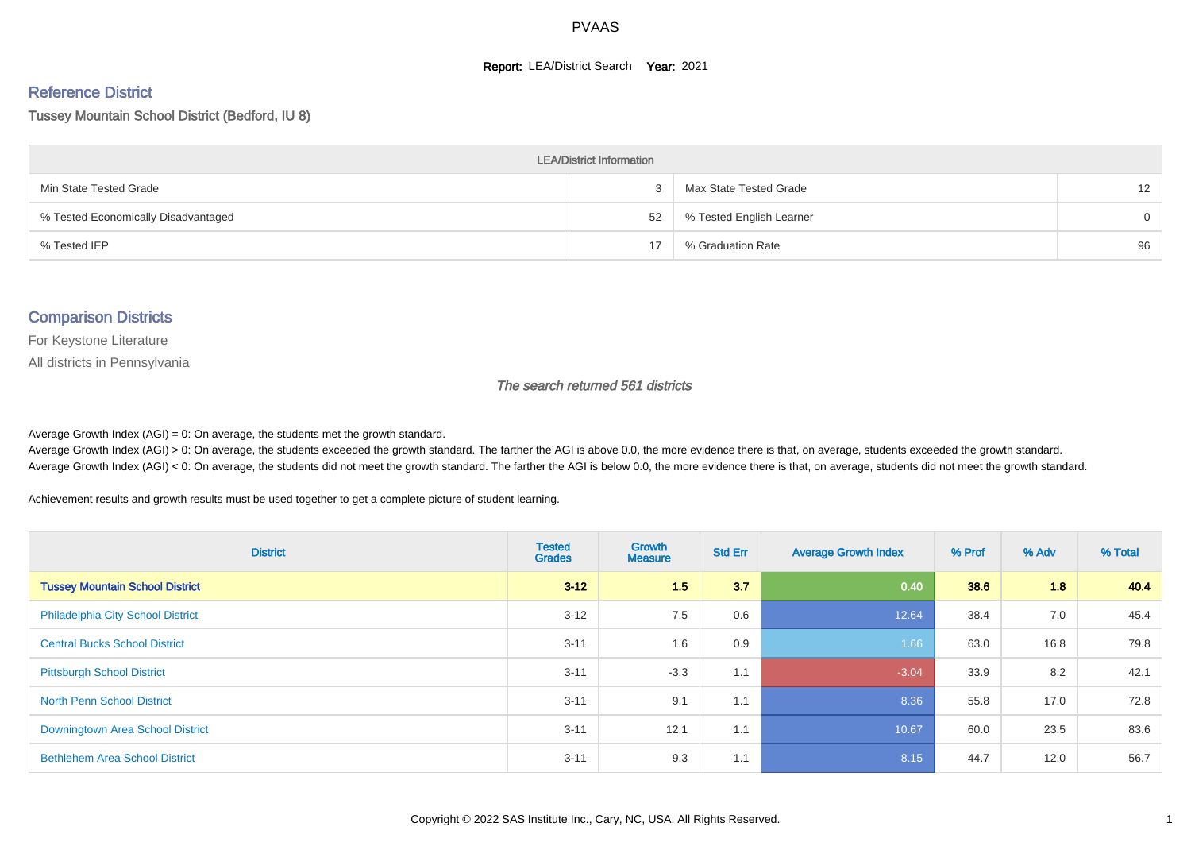#### **Report: LEA/District Search Year: 2021**

# Reference District

Tussey Mountain School District (Bedford, IU 8)

| <b>LEA/District Information</b>     |    |                          |          |  |  |  |  |  |  |
|-------------------------------------|----|--------------------------|----------|--|--|--|--|--|--|
| Min State Tested Grade              |    | Max State Tested Grade   | 12       |  |  |  |  |  |  |
| % Tested Economically Disadvantaged | 52 | % Tested English Learner | $\Omega$ |  |  |  |  |  |  |
| % Tested IEP                        |    | % Graduation Rate        | 96       |  |  |  |  |  |  |

#### Comparison Districts

For Keystone Literature

All districts in Pennsylvania

The search returned 561 districts

Average Growth Index  $(AGI) = 0$ : On average, the students met the growth standard.

Average Growth Index (AGI) > 0: On average, the students exceeded the growth standard. The farther the AGI is above 0.0, the more evidence there is that, on average, students exceeded the growth standard. Average Growth Index (AGI) < 0: On average, the students did not meet the growth standard. The farther the AGI is below 0.0, the more evidence there is that, on average, students did not meet the growth standard.

Achievement results and growth results must be used together to get a complete picture of student learning.

| <b>District</b>                          | <b>Tested</b><br><b>Grades</b> | <b>Growth</b><br><b>Measure</b> | <b>Std Err</b> | <b>Average Growth Index</b> | % Prof | % Adv | % Total |
|------------------------------------------|--------------------------------|---------------------------------|----------------|-----------------------------|--------|-------|---------|
| <b>Tussey Mountain School District</b>   | $3 - 12$                       | 1.5                             | 3.7            | 0.40                        | 38.6   | 1.8   | 40.4    |
| <b>Philadelphia City School District</b> | $3 - 12$                       | 7.5                             | 0.6            | 12.64                       | 38.4   | 7.0   | 45.4    |
| <b>Central Bucks School District</b>     | $3 - 11$                       | 1.6                             | 0.9            | 1.66                        | 63.0   | 16.8  | 79.8    |
| <b>Pittsburgh School District</b>        | $3 - 11$                       | $-3.3$                          | 1.1            | $-3.04$                     | 33.9   | 8.2   | 42.1    |
| <b>North Penn School District</b>        | $3 - 11$                       | 9.1                             | 1.1            | 8.36                        | 55.8   | 17.0  | 72.8    |
| Downingtown Area School District         | $3 - 11$                       | 12.1                            | 1.1            | 10.67                       | 60.0   | 23.5  | 83.6    |
| <b>Bethlehem Area School District</b>    | $3 - 11$                       | 9.3                             | 1.1            | 8.15                        | 44.7   | 12.0  | 56.7    |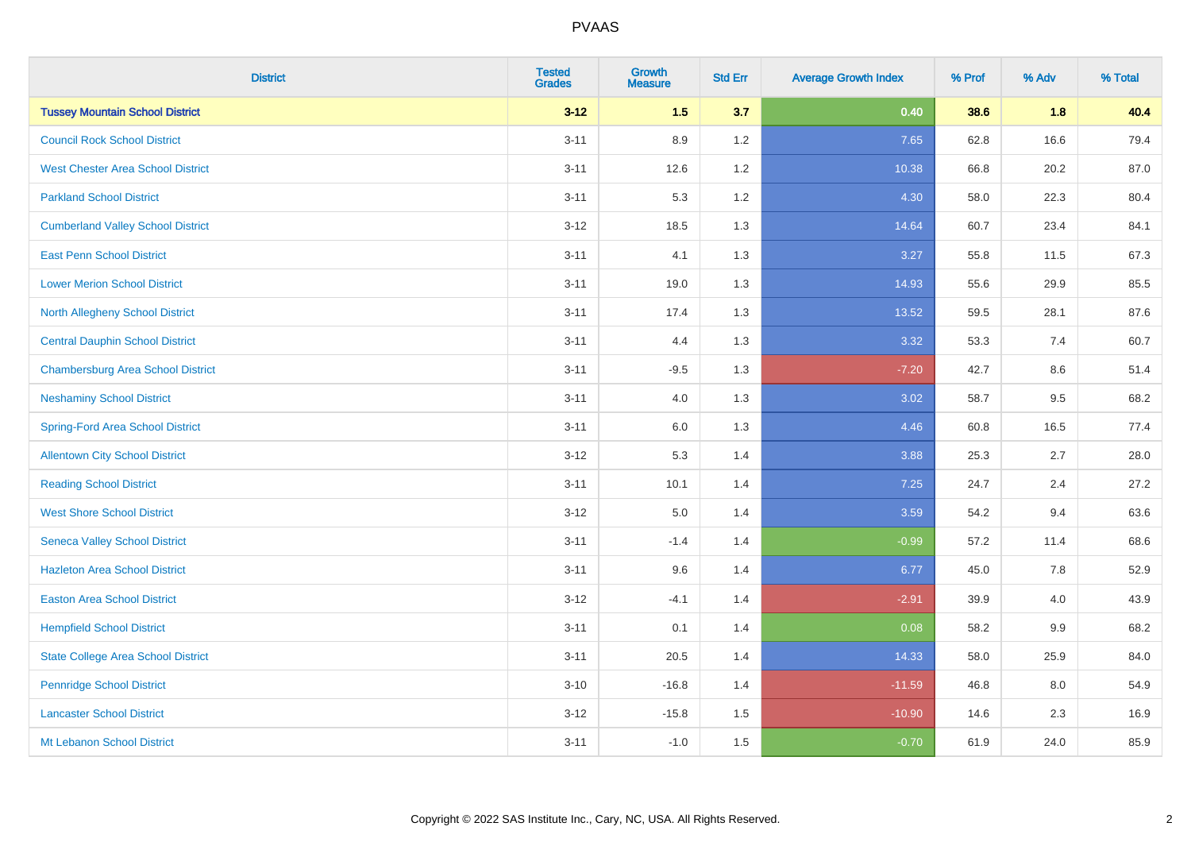| <b>District</b>                           | <b>Tested</b><br><b>Grades</b> | <b>Growth</b><br><b>Measure</b> | <b>Std Err</b> | <b>Average Growth Index</b> | % Prof | % Adv | % Total |
|-------------------------------------------|--------------------------------|---------------------------------|----------------|-----------------------------|--------|-------|---------|
| <b>Tussey Mountain School District</b>    | $3 - 12$                       | 1.5                             | 3.7            | 0.40                        | 38.6   | 1.8   | 40.4    |
| <b>Council Rock School District</b>       | $3 - 11$                       | 8.9                             | 1.2            | 7.65                        | 62.8   | 16.6  | 79.4    |
| <b>West Chester Area School District</b>  | $3 - 11$                       | 12.6                            | 1.2            | 10.38                       | 66.8   | 20.2  | 87.0    |
| <b>Parkland School District</b>           | $3 - 11$                       | 5.3                             | 1.2            | 4.30                        | 58.0   | 22.3  | 80.4    |
| <b>Cumberland Valley School District</b>  | $3 - 12$                       | 18.5                            | 1.3            | 14.64                       | 60.7   | 23.4  | 84.1    |
| <b>East Penn School District</b>          | $3 - 11$                       | 4.1                             | 1.3            | 3.27                        | 55.8   | 11.5  | 67.3    |
| <b>Lower Merion School District</b>       | $3 - 11$                       | 19.0                            | 1.3            | 14.93                       | 55.6   | 29.9  | 85.5    |
| <b>North Allegheny School District</b>    | $3 - 11$                       | 17.4                            | 1.3            | 13.52                       | 59.5   | 28.1  | 87.6    |
| <b>Central Dauphin School District</b>    | $3 - 11$                       | 4.4                             | 1.3            | 3.32                        | 53.3   | 7.4   | 60.7    |
| <b>Chambersburg Area School District</b>  | $3 - 11$                       | $-9.5$                          | 1.3            | $-7.20$                     | 42.7   | 8.6   | 51.4    |
| <b>Neshaminy School District</b>          | $3 - 11$                       | 4.0                             | 1.3            | 3.02                        | 58.7   | 9.5   | 68.2    |
| <b>Spring-Ford Area School District</b>   | $3 - 11$                       | $6.0\,$                         | 1.3            | 4.46                        | 60.8   | 16.5  | 77.4    |
| <b>Allentown City School District</b>     | $3 - 12$                       | 5.3                             | 1.4            | 3.88                        | 25.3   | 2.7   | 28.0    |
| <b>Reading School District</b>            | $3 - 11$                       | 10.1                            | 1.4            | 7.25                        | 24.7   | 2.4   | 27.2    |
| <b>West Shore School District</b>         | $3 - 12$                       | $5.0\,$                         | 1.4            | 3.59                        | 54.2   | 9.4   | 63.6    |
| <b>Seneca Valley School District</b>      | $3 - 11$                       | $-1.4$                          | 1.4            | $-0.99$                     | 57.2   | 11.4  | 68.6    |
| <b>Hazleton Area School District</b>      | $3 - 11$                       | 9.6                             | 1.4            | 6.77                        | 45.0   | 7.8   | 52.9    |
| <b>Easton Area School District</b>        | $3 - 12$                       | $-4.1$                          | 1.4            | $-2.91$                     | 39.9   | 4.0   | 43.9    |
| <b>Hempfield School District</b>          | $3 - 11$                       | 0.1                             | 1.4            | 0.08                        | 58.2   | 9.9   | 68.2    |
| <b>State College Area School District</b> | $3 - 11$                       | 20.5                            | 1.4            | 14.33                       | 58.0   | 25.9  | 84.0    |
| <b>Pennridge School District</b>          | $3 - 10$                       | $-16.8$                         | 1.4            | $-11.59$                    | 46.8   | 8.0   | 54.9    |
| <b>Lancaster School District</b>          | $3 - 12$                       | $-15.8$                         | 1.5            | $-10.90$                    | 14.6   | 2.3   | 16.9    |
| Mt Lebanon School District                | $3 - 11$                       | $-1.0$                          | 1.5            | $-0.70$                     | 61.9   | 24.0  | 85.9    |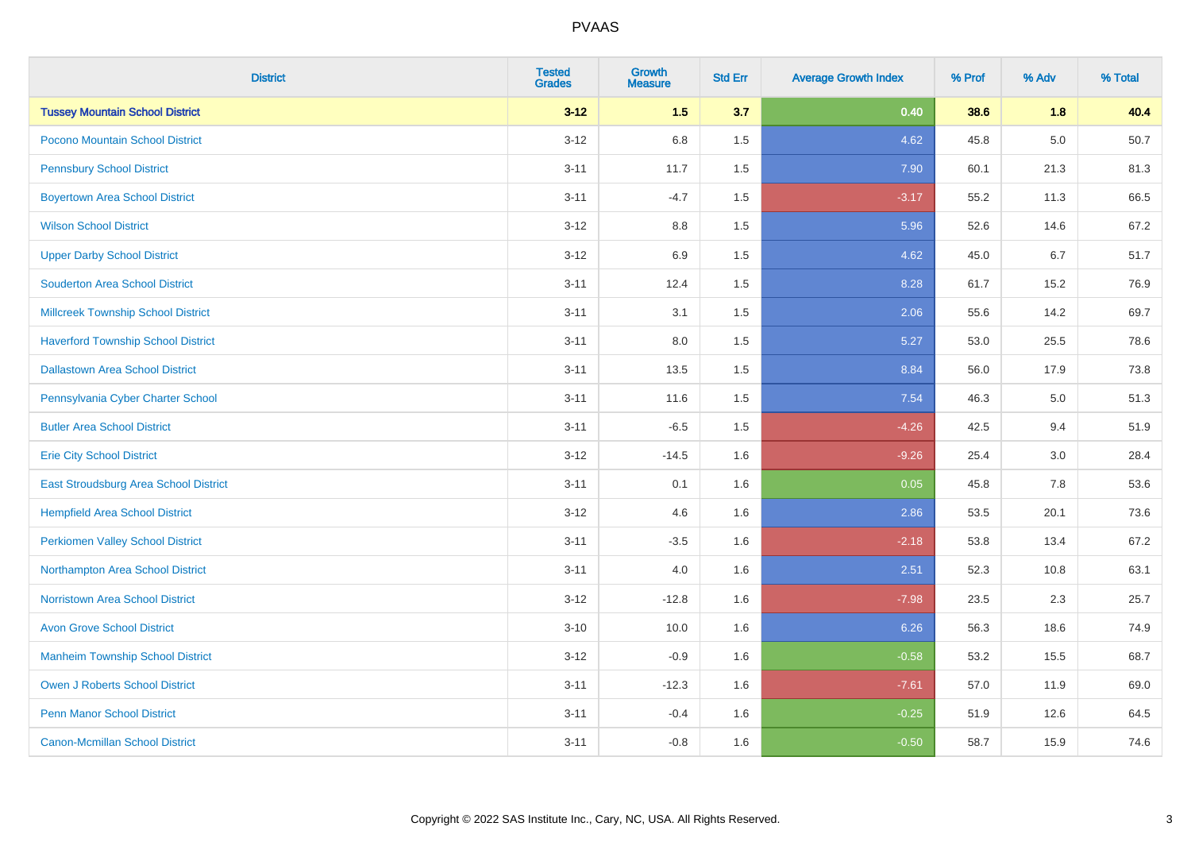| <b>District</b>                           | <b>Tested</b><br><b>Grades</b> | <b>Growth</b><br><b>Measure</b> | <b>Std Err</b> | <b>Average Growth Index</b> | % Prof | % Adv   | % Total |
|-------------------------------------------|--------------------------------|---------------------------------|----------------|-----------------------------|--------|---------|---------|
| <b>Tussey Mountain School District</b>    | $3 - 12$                       | 1.5                             | 3.7            | 0.40                        | 38.6   | 1.8     | 40.4    |
| Pocono Mountain School District           | $3 - 12$                       | 6.8                             | 1.5            | 4.62                        | 45.8   | $5.0\,$ | 50.7    |
| <b>Pennsbury School District</b>          | $3 - 11$                       | 11.7                            | 1.5            | 7.90                        | 60.1   | 21.3    | 81.3    |
| <b>Boyertown Area School District</b>     | $3 - 11$                       | $-4.7$                          | 1.5            | $-3.17$                     | 55.2   | 11.3    | 66.5    |
| <b>Wilson School District</b>             | $3 - 12$                       | 8.8                             | 1.5            | 5.96                        | 52.6   | 14.6    | 67.2    |
| <b>Upper Darby School District</b>        | $3 - 12$                       | 6.9                             | 1.5            | 4.62                        | 45.0   | 6.7     | 51.7    |
| <b>Souderton Area School District</b>     | $3 - 11$                       | 12.4                            | 1.5            | 8.28                        | 61.7   | 15.2    | 76.9    |
| <b>Millcreek Township School District</b> | $3 - 11$                       | 3.1                             | 1.5            | 2.06                        | 55.6   | 14.2    | 69.7    |
| <b>Haverford Township School District</b> | $3 - 11$                       | 8.0                             | 1.5            | 5.27                        | 53.0   | 25.5    | 78.6    |
| <b>Dallastown Area School District</b>    | $3 - 11$                       | 13.5                            | 1.5            | 8.84                        | 56.0   | 17.9    | 73.8    |
| Pennsylvania Cyber Charter School         | $3 - 11$                       | 11.6                            | 1.5            | 7.54                        | 46.3   | 5.0     | 51.3    |
| <b>Butler Area School District</b>        | $3 - 11$                       | $-6.5$                          | 1.5            | $-4.26$                     | 42.5   | 9.4     | 51.9    |
| <b>Erie City School District</b>          | $3 - 12$                       | $-14.5$                         | 1.6            | $-9.26$                     | 25.4   | 3.0     | 28.4    |
| East Stroudsburg Area School District     | $3 - 11$                       | 0.1                             | 1.6            | 0.05                        | 45.8   | 7.8     | 53.6    |
| <b>Hempfield Area School District</b>     | $3 - 12$                       | 4.6                             | 1.6            | 2.86                        | 53.5   | 20.1    | 73.6    |
| <b>Perkiomen Valley School District</b>   | $3 - 11$                       | $-3.5$                          | 1.6            | $-2.18$                     | 53.8   | 13.4    | 67.2    |
| Northampton Area School District          | $3 - 11$                       | 4.0                             | 1.6            | 2.51                        | 52.3   | 10.8    | 63.1    |
| <b>Norristown Area School District</b>    | $3 - 12$                       | $-12.8$                         | 1.6            | $-7.98$                     | 23.5   | 2.3     | 25.7    |
| <b>Avon Grove School District</b>         | $3 - 10$                       | 10.0                            | 1.6            | 6.26                        | 56.3   | 18.6    | 74.9    |
| <b>Manheim Township School District</b>   | $3 - 12$                       | $-0.9$                          | 1.6            | $-0.58$                     | 53.2   | 15.5    | 68.7    |
| <b>Owen J Roberts School District</b>     | $3 - 11$                       | $-12.3$                         | 1.6            | $-7.61$                     | 57.0   | 11.9    | 69.0    |
| <b>Penn Manor School District</b>         | $3 - 11$                       | $-0.4$                          | 1.6            | $-0.25$                     | 51.9   | 12.6    | 64.5    |
| <b>Canon-Mcmillan School District</b>     | $3 - 11$                       | $-0.8$                          | 1.6            | $-0.50$                     | 58.7   | 15.9    | 74.6    |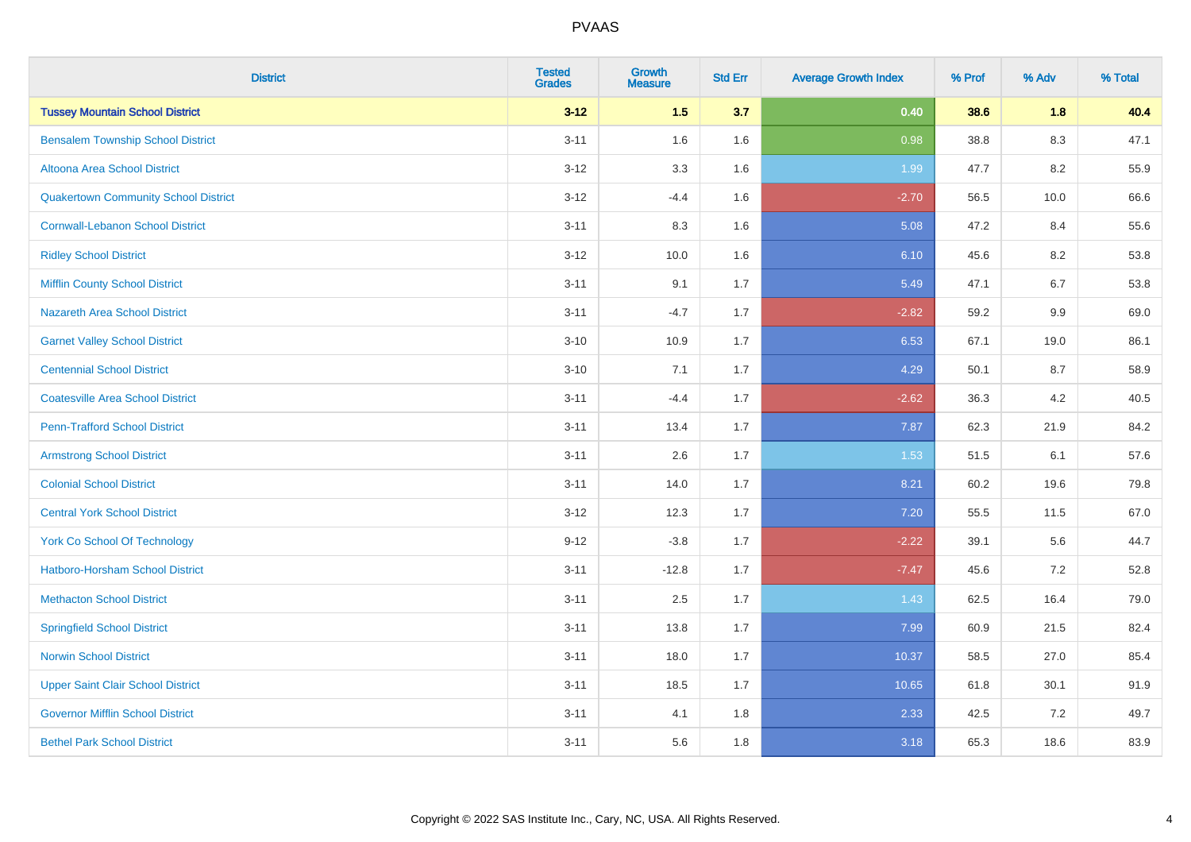| <b>District</b>                             | <b>Tested</b><br><b>Grades</b> | <b>Growth</b><br><b>Measure</b> | <b>Std Err</b> | <b>Average Growth Index</b> | % Prof | % Adv   | % Total |
|---------------------------------------------|--------------------------------|---------------------------------|----------------|-----------------------------|--------|---------|---------|
| <b>Tussey Mountain School District</b>      | $3 - 12$                       | $1.5$                           | 3.7            | 0.40                        | 38.6   | 1.8     | 40.4    |
| <b>Bensalem Township School District</b>    | $3 - 11$                       | 1.6                             | 1.6            | 0.98                        | 38.8   | $8.3\,$ | 47.1    |
| Altoona Area School District                | $3 - 12$                       | 3.3                             | 1.6            | 1.99                        | 47.7   | 8.2     | 55.9    |
| <b>Quakertown Community School District</b> | $3 - 12$                       | $-4.4$                          | 1.6            | $-2.70$                     | 56.5   | 10.0    | 66.6    |
| <b>Cornwall-Lebanon School District</b>     | $3 - 11$                       | 8.3                             | 1.6            | 5.08                        | 47.2   | 8.4     | 55.6    |
| <b>Ridley School District</b>               | $3 - 12$                       | 10.0                            | 1.6            | 6.10                        | 45.6   | 8.2     | 53.8    |
| <b>Mifflin County School District</b>       | $3 - 11$                       | 9.1                             | 1.7            | 5.49                        | 47.1   | 6.7     | 53.8    |
| <b>Nazareth Area School District</b>        | $3 - 11$                       | $-4.7$                          | 1.7            | $-2.82$                     | 59.2   | 9.9     | 69.0    |
| <b>Garnet Valley School District</b>        | $3 - 10$                       | 10.9                            | 1.7            | 6.53                        | 67.1   | 19.0    | 86.1    |
| <b>Centennial School District</b>           | $3 - 10$                       | 7.1                             | 1.7            | 4.29                        | 50.1   | 8.7     | 58.9    |
| <b>Coatesville Area School District</b>     | $3 - 11$                       | $-4.4$                          | 1.7            | $-2.62$                     | 36.3   | 4.2     | 40.5    |
| <b>Penn-Trafford School District</b>        | $3 - 11$                       | 13.4                            | 1.7            | 7.87                        | 62.3   | 21.9    | 84.2    |
| <b>Armstrong School District</b>            | $3 - 11$                       | 2.6                             | 1.7            | 1.53                        | 51.5   | 6.1     | 57.6    |
| <b>Colonial School District</b>             | $3 - 11$                       | 14.0                            | 1.7            | 8.21                        | 60.2   | 19.6    | 79.8    |
| <b>Central York School District</b>         | $3 - 12$                       | 12.3                            | 1.7            | 7.20                        | 55.5   | 11.5    | 67.0    |
| <b>York Co School Of Technology</b>         | $9 - 12$                       | $-3.8$                          | 1.7            | $-2.22$                     | 39.1   | 5.6     | 44.7    |
| <b>Hatboro-Horsham School District</b>      | $3 - 11$                       | $-12.8$                         | 1.7            | $-7.47$                     | 45.6   | $7.2\,$ | 52.8    |
| <b>Methacton School District</b>            | $3 - 11$                       | 2.5                             | 1.7            | 1.43                        | 62.5   | 16.4    | 79.0    |
| <b>Springfield School District</b>          | $3 - 11$                       | 13.8                            | 1.7            | 7.99                        | 60.9   | 21.5    | 82.4    |
| <b>Norwin School District</b>               | $3 - 11$                       | 18.0                            | 1.7            | 10.37                       | 58.5   | 27.0    | 85.4    |
| <b>Upper Saint Clair School District</b>    | $3 - 11$                       | 18.5                            | 1.7            | 10.65                       | 61.8   | 30.1    | 91.9    |
| <b>Governor Mifflin School District</b>     | $3 - 11$                       | 4.1                             | 1.8            | 2.33                        | 42.5   | $7.2\,$ | 49.7    |
| <b>Bethel Park School District</b>          | $3 - 11$                       | 5.6                             | 1.8            | 3.18                        | 65.3   | 18.6    | 83.9    |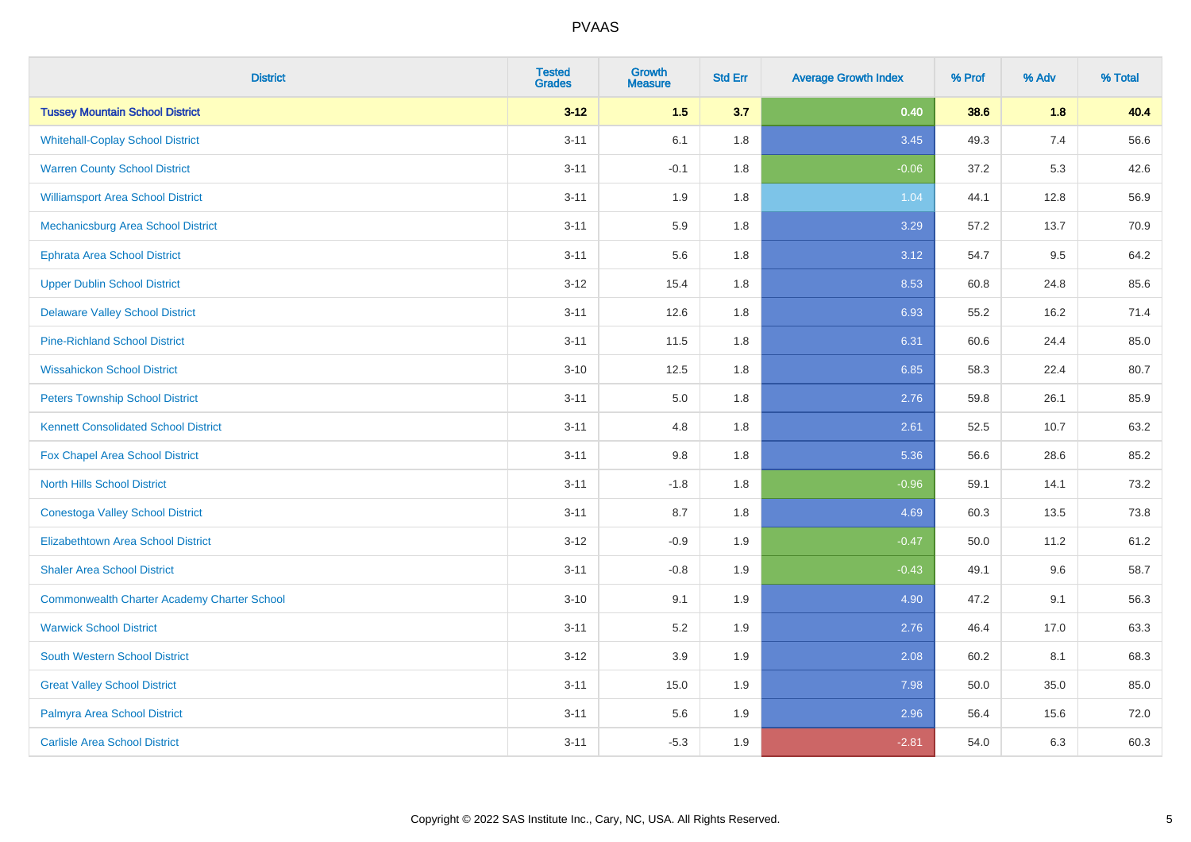| <b>District</b>                                    | <b>Tested</b><br><b>Grades</b> | <b>Growth</b><br><b>Measure</b> | <b>Std Err</b> | <b>Average Growth Index</b> | % Prof | % Adv | % Total |
|----------------------------------------------------|--------------------------------|---------------------------------|----------------|-----------------------------|--------|-------|---------|
| <b>Tussey Mountain School District</b>             | $3 - 12$                       | 1.5                             | 3.7            | 0.40                        | 38.6   | 1.8   | 40.4    |
| <b>Whitehall-Coplay School District</b>            | $3 - 11$                       | 6.1                             | 1.8            | 3.45                        | 49.3   | 7.4   | 56.6    |
| <b>Warren County School District</b>               | $3 - 11$                       | $-0.1$                          | 1.8            | $-0.06$                     | 37.2   | 5.3   | 42.6    |
| <b>Williamsport Area School District</b>           | $3 - 11$                       | 1.9                             | 1.8            | 1.04                        | 44.1   | 12.8  | 56.9    |
| Mechanicsburg Area School District                 | $3 - 11$                       | 5.9                             | 1.8            | 3.29                        | 57.2   | 13.7  | 70.9    |
| <b>Ephrata Area School District</b>                | $3 - 11$                       | 5.6                             | 1.8            | 3.12                        | 54.7   | 9.5   | 64.2    |
| <b>Upper Dublin School District</b>                | $3-12$                         | 15.4                            | 1.8            | 8.53                        | 60.8   | 24.8  | 85.6    |
| <b>Delaware Valley School District</b>             | $3 - 11$                       | 12.6                            | 1.8            | 6.93                        | 55.2   | 16.2  | 71.4    |
| <b>Pine-Richland School District</b>               | $3 - 11$                       | 11.5                            | 1.8            | 6.31                        | 60.6   | 24.4  | 85.0    |
| <b>Wissahickon School District</b>                 | $3 - 10$                       | 12.5                            | 1.8            | 6.85                        | 58.3   | 22.4  | 80.7    |
| <b>Peters Township School District</b>             | $3 - 11$                       | 5.0                             | 1.8            | 2.76                        | 59.8   | 26.1  | 85.9    |
| <b>Kennett Consolidated School District</b>        | $3 - 11$                       | 4.8                             | 1.8            | 2.61                        | 52.5   | 10.7  | 63.2    |
| Fox Chapel Area School District                    | $3 - 11$                       | $9.8\,$                         | 1.8            | 5.36                        | 56.6   | 28.6  | 85.2    |
| <b>North Hills School District</b>                 | $3 - 11$                       | $-1.8$                          | 1.8            | $-0.96$                     | 59.1   | 14.1  | 73.2    |
| <b>Conestoga Valley School District</b>            | $3 - 11$                       | 8.7                             | 1.8            | 4.69                        | 60.3   | 13.5  | 73.8    |
| <b>Elizabethtown Area School District</b>          | $3-12$                         | $-0.9$                          | 1.9            | $-0.47$                     | 50.0   | 11.2  | 61.2    |
| <b>Shaler Area School District</b>                 | $3 - 11$                       | $-0.8$                          | 1.9            | $-0.43$                     | 49.1   | 9.6   | 58.7    |
| <b>Commonwealth Charter Academy Charter School</b> | $3 - 10$                       | 9.1                             | 1.9            | 4.90                        | 47.2   | 9.1   | 56.3    |
| <b>Warwick School District</b>                     | $3 - 11$                       | 5.2                             | 1.9            | 2.76                        | 46.4   | 17.0  | 63.3    |
| <b>South Western School District</b>               | $3-12$                         | 3.9                             | 1.9            | 2.08                        | 60.2   | 8.1   | 68.3    |
| <b>Great Valley School District</b>                | $3 - 11$                       | 15.0                            | 1.9            | 7.98                        | 50.0   | 35.0  | 85.0    |
| Palmyra Area School District                       | $3 - 11$                       | 5.6                             | 1.9            | 2.96                        | 56.4   | 15.6  | 72.0    |
| <b>Carlisle Area School District</b>               | $3 - 11$                       | $-5.3$                          | 1.9            | $-2.81$                     | 54.0   | 6.3   | 60.3    |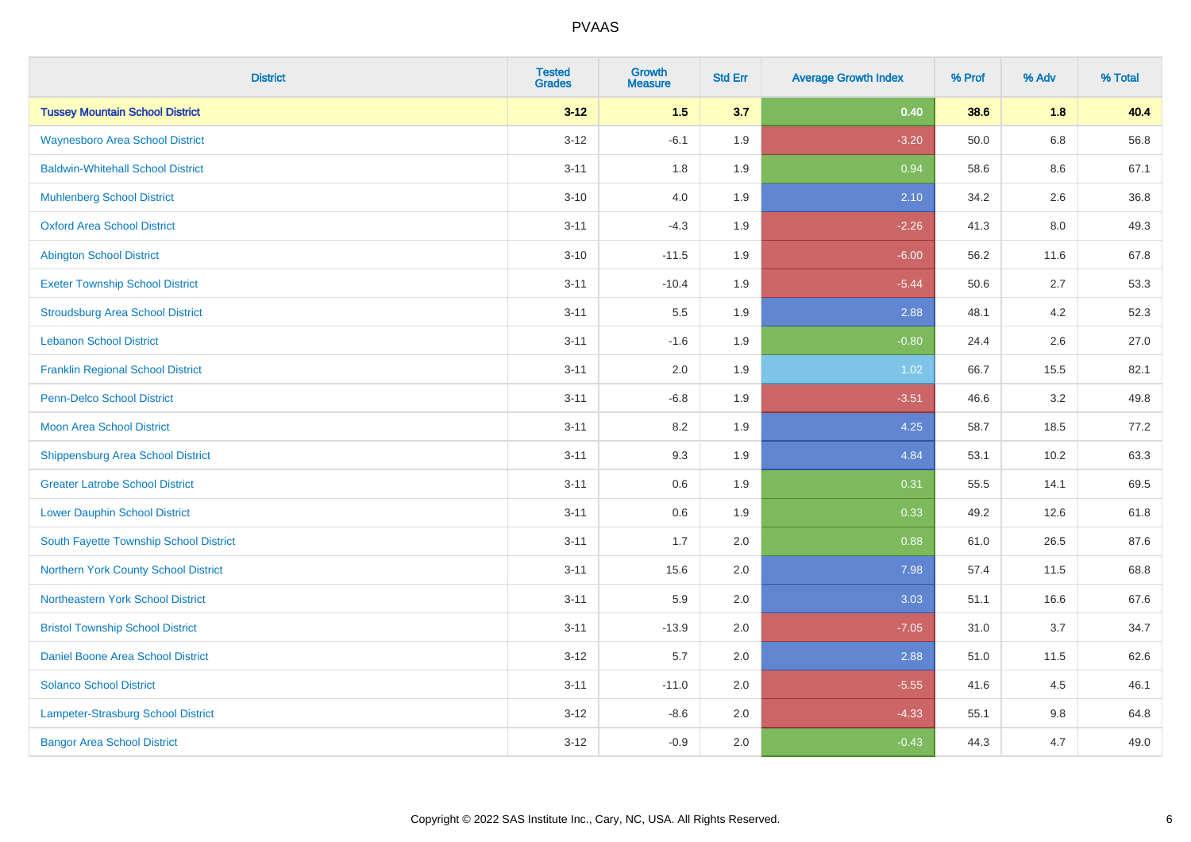| <b>District</b>                          | <b>Tested</b><br><b>Grades</b> | <b>Growth</b><br><b>Measure</b> | <b>Std Err</b> | <b>Average Growth Index</b> | % Prof | % Adv   | % Total |
|------------------------------------------|--------------------------------|---------------------------------|----------------|-----------------------------|--------|---------|---------|
| <b>Tussey Mountain School District</b>   | $3 - 12$                       | 1.5                             | 3.7            | 0.40                        | 38.6   | 1.8     | 40.4    |
| <b>Waynesboro Area School District</b>   | $3 - 12$                       | $-6.1$                          | 1.9            | $-3.20$                     | 50.0   | $6.8\,$ | 56.8    |
| <b>Baldwin-Whitehall School District</b> | $3 - 11$                       | 1.8                             | 1.9            | 0.94                        | 58.6   | 8.6     | 67.1    |
| <b>Muhlenberg School District</b>        | $3 - 10$                       | 4.0                             | 1.9            | 2.10                        | 34.2   | 2.6     | 36.8    |
| <b>Oxford Area School District</b>       | $3 - 11$                       | $-4.3$                          | 1.9            | $-2.26$                     | 41.3   | 8.0     | 49.3    |
| <b>Abington School District</b>          | $3 - 10$                       | $-11.5$                         | 1.9            | $-6.00$                     | 56.2   | 11.6    | 67.8    |
| <b>Exeter Township School District</b>   | $3 - 11$                       | $-10.4$                         | 1.9            | $-5.44$                     | 50.6   | 2.7     | 53.3    |
| <b>Stroudsburg Area School District</b>  | $3 - 11$                       | 5.5                             | 1.9            | 2.88                        | 48.1   | 4.2     | 52.3    |
| <b>Lebanon School District</b>           | $3 - 11$                       | $-1.6$                          | 1.9            | $-0.80$                     | 24.4   | 2.6     | 27.0    |
| <b>Franklin Regional School District</b> | $3 - 11$                       | 2.0                             | 1.9            | 1.02                        | 66.7   | 15.5    | 82.1    |
| Penn-Delco School District               | $3 - 11$                       | $-6.8$                          | 1.9            | $-3.51$                     | 46.6   | 3.2     | 49.8    |
| <b>Moon Area School District</b>         | $3 - 11$                       | 8.2                             | 1.9            | 4.25                        | 58.7   | 18.5    | 77.2    |
| Shippensburg Area School District        | $3 - 11$                       | 9.3                             | 1.9            | 4.84                        | 53.1   | 10.2    | 63.3    |
| <b>Greater Latrobe School District</b>   | $3 - 11$                       | 0.6                             | 1.9            | 0.31                        | 55.5   | 14.1    | 69.5    |
| <b>Lower Dauphin School District</b>     | $3 - 11$                       | 0.6                             | 1.9            | 0.33                        | 49.2   | 12.6    | 61.8    |
| South Fayette Township School District   | $3 - 11$                       | 1.7                             | 2.0            | 0.88                        | 61.0   | 26.5    | 87.6    |
| Northern York County School District     | $3 - 11$                       | 15.6                            | 2.0            | 7.98                        | 57.4   | 11.5    | 68.8    |
| Northeastern York School District        | $3 - 11$                       | 5.9                             | 2.0            | 3.03                        | 51.1   | 16.6    | 67.6    |
| <b>Bristol Township School District</b>  | $3 - 11$                       | $-13.9$                         | 2.0            | $-7.05$                     | 31.0   | 3.7     | 34.7    |
| Daniel Boone Area School District        | $3 - 12$                       | 5.7                             | 2.0            | 2.88                        | 51.0   | 11.5    | 62.6    |
| <b>Solanco School District</b>           | $3 - 11$                       | $-11.0$                         | 2.0            | $-5.55$                     | 41.6   | 4.5     | 46.1    |
| Lampeter-Strasburg School District       | $3-12$                         | $-8.6$                          | 2.0            | $-4.33$                     | 55.1   | $9.8\,$ | 64.8    |
| <b>Bangor Area School District</b>       | $3 - 12$                       | $-0.9$                          | 2.0            | $-0.43$                     | 44.3   | 4.7     | 49.0    |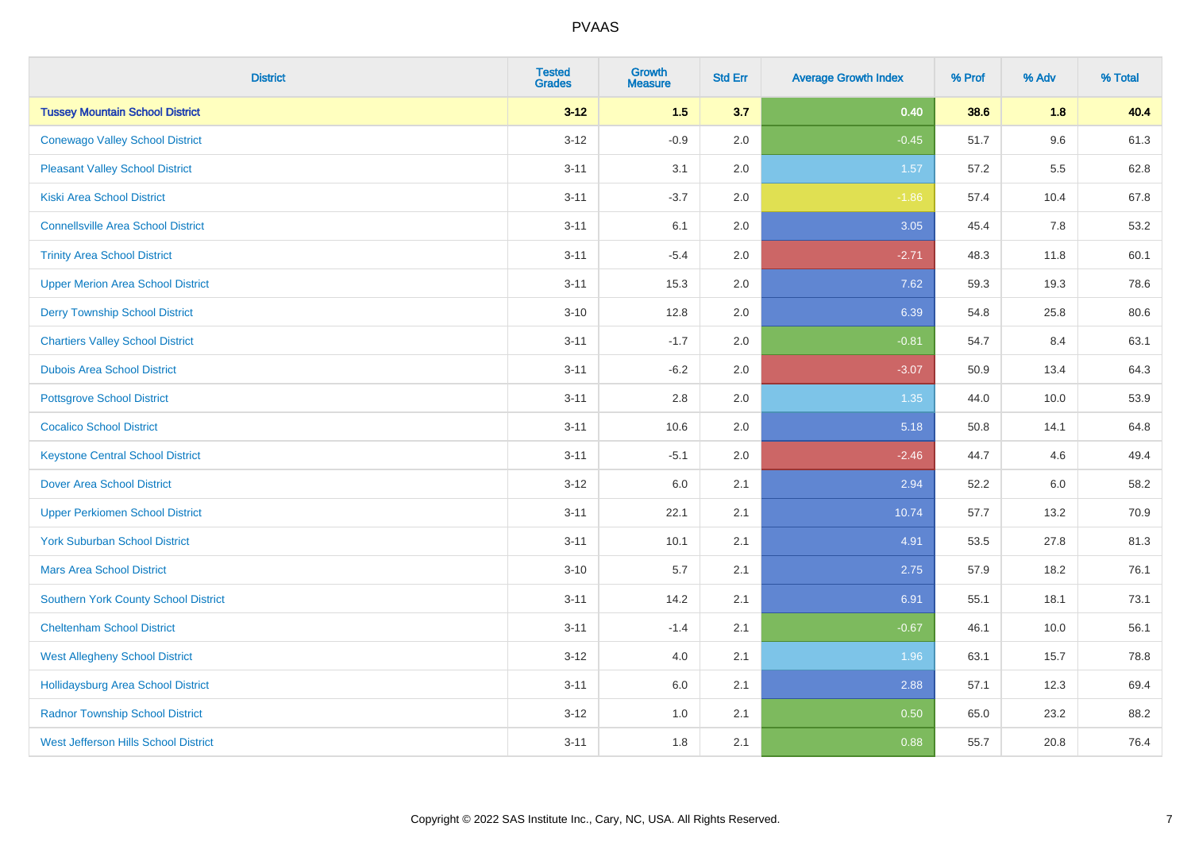| <b>District</b>                             | <b>Tested</b><br><b>Grades</b> | <b>Growth</b><br><b>Measure</b> | <b>Std Err</b> | <b>Average Growth Index</b> | % Prof | % Adv   | % Total |
|---------------------------------------------|--------------------------------|---------------------------------|----------------|-----------------------------|--------|---------|---------|
| <b>Tussey Mountain School District</b>      | $3 - 12$                       | 1.5                             | 3.7            | 0.40                        | 38.6   | 1.8     | 40.4    |
| <b>Conewago Valley School District</b>      | $3 - 12$                       | $-0.9$                          | 2.0            | $-0.45$                     | 51.7   | $9.6\,$ | 61.3    |
| <b>Pleasant Valley School District</b>      | $3 - 11$                       | 3.1                             | 2.0            | 1.57                        | 57.2   | 5.5     | 62.8    |
| <b>Kiski Area School District</b>           | $3 - 11$                       | $-3.7$                          | 2.0            | $-1.86$                     | 57.4   | 10.4    | 67.8    |
| <b>Connellsville Area School District</b>   | $3 - 11$                       | 6.1                             | 2.0            | 3.05                        | 45.4   | 7.8     | 53.2    |
| <b>Trinity Area School District</b>         | $3 - 11$                       | $-5.4$                          | 2.0            | $-2.71$                     | 48.3   | 11.8    | 60.1    |
| <b>Upper Merion Area School District</b>    | $3 - 11$                       | 15.3                            | 2.0            | 7.62                        | 59.3   | 19.3    | 78.6    |
| <b>Derry Township School District</b>       | $3 - 10$                       | 12.8                            | 2.0            | 6.39                        | 54.8   | 25.8    | 80.6    |
| <b>Chartiers Valley School District</b>     | $3 - 11$                       | $-1.7$                          | 2.0            | $-0.81$                     | 54.7   | 8.4     | 63.1    |
| <b>Dubois Area School District</b>          | $3 - 11$                       | $-6.2$                          | 2.0            | $-3.07$                     | 50.9   | 13.4    | 64.3    |
| <b>Pottsgrove School District</b>           | $3 - 11$                       | 2.8                             | 2.0            | $1.35$                      | 44.0   | 10.0    | 53.9    |
| <b>Cocalico School District</b>             | $3 - 11$                       | 10.6                            | 2.0            | 5.18                        | 50.8   | 14.1    | 64.8    |
| <b>Keystone Central School District</b>     | $3 - 11$                       | $-5.1$                          | 2.0            | $-2.46$                     | 44.7   | 4.6     | 49.4    |
| <b>Dover Area School District</b>           | $3 - 12$                       | 6.0                             | 2.1            | 2.94                        | 52.2   | 6.0     | 58.2    |
| <b>Upper Perkiomen School District</b>      | $3 - 11$                       | 22.1                            | 2.1            | 10.74                       | 57.7   | 13.2    | 70.9    |
| <b>York Suburban School District</b>        | $3 - 11$                       | 10.1                            | 2.1            | 4.91                        | 53.5   | 27.8    | 81.3    |
| <b>Mars Area School District</b>            | $3 - 10$                       | 5.7                             | 2.1            | 2.75                        | 57.9   | 18.2    | 76.1    |
| <b>Southern York County School District</b> | $3 - 11$                       | 14.2                            | 2.1            | 6.91                        | 55.1   | 18.1    | 73.1    |
| <b>Cheltenham School District</b>           | $3 - 11$                       | $-1.4$                          | 2.1            | $-0.67$                     | 46.1   | 10.0    | 56.1    |
| <b>West Allegheny School District</b>       | $3 - 12$                       | 4.0                             | 2.1            | 1.96                        | 63.1   | 15.7    | 78.8    |
| <b>Hollidaysburg Area School District</b>   | $3 - 11$                       | 6.0                             | 2.1            | 2.88                        | 57.1   | 12.3    | 69.4    |
| <b>Radnor Township School District</b>      | $3-12$                         | 1.0                             | 2.1            | 0.50                        | 65.0   | 23.2    | 88.2    |
| <b>West Jefferson Hills School District</b> | $3 - 11$                       | 1.8                             | 2.1            | 0.88                        | 55.7   | 20.8    | 76.4    |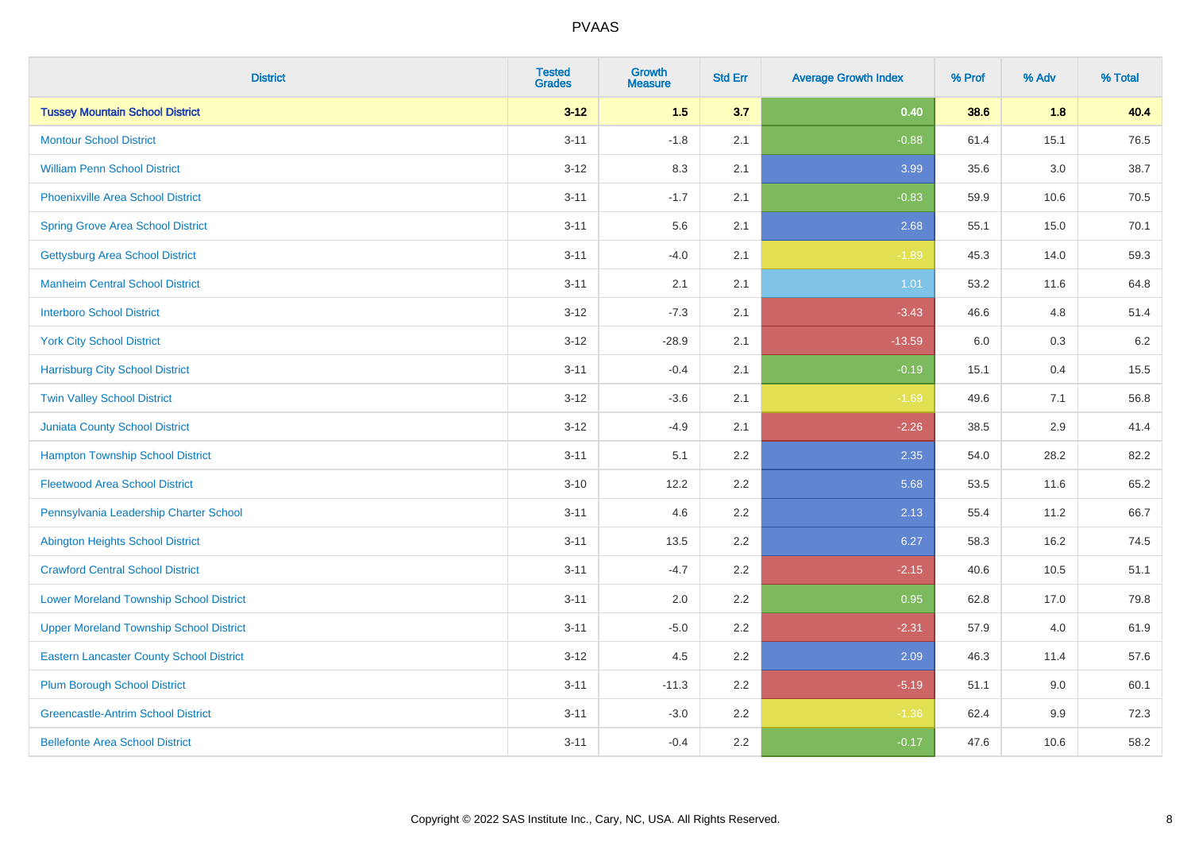| <b>District</b>                                 | <b>Tested</b><br><b>Grades</b> | <b>Growth</b><br><b>Measure</b> | <b>Std Err</b> | <b>Average Growth Index</b> | % Prof | % Adv   | % Total |
|-------------------------------------------------|--------------------------------|---------------------------------|----------------|-----------------------------|--------|---------|---------|
| <b>Tussey Mountain School District</b>          | $3 - 12$                       | $1.5$                           | 3.7            | 0.40                        | 38.6   | 1.8     | 40.4    |
| <b>Montour School District</b>                  | $3 - 11$                       | $-1.8$                          | 2.1            | $-0.88$                     | 61.4   | 15.1    | 76.5    |
| <b>William Penn School District</b>             | $3 - 12$                       | 8.3                             | 2.1            | 3.99                        | 35.6   | 3.0     | 38.7    |
| <b>Phoenixville Area School District</b>        | $3 - 11$                       | $-1.7$                          | 2.1            | $-0.83$                     | 59.9   | 10.6    | 70.5    |
| <b>Spring Grove Area School District</b>        | $3 - 11$                       | 5.6                             | 2.1            | 2.68                        | 55.1   | 15.0    | 70.1    |
| <b>Gettysburg Area School District</b>          | $3 - 11$                       | $-4.0$                          | 2.1            | $-1.89$                     | 45.3   | 14.0    | 59.3    |
| <b>Manheim Central School District</b>          | $3 - 11$                       | 2.1                             | 2.1            | 1.01                        | 53.2   | 11.6    | 64.8    |
| <b>Interboro School District</b>                | $3 - 12$                       | $-7.3$                          | 2.1            | $-3.43$                     | 46.6   | 4.8     | 51.4    |
| <b>York City School District</b>                | $3 - 12$                       | $-28.9$                         | 2.1            | $-13.59$                    | 6.0    | 0.3     | $6.2\,$ |
| <b>Harrisburg City School District</b>          | $3 - 11$                       | $-0.4$                          | 2.1            | $-0.19$                     | 15.1   | 0.4     | 15.5    |
| <b>Twin Valley School District</b>              | $3-12$                         | $-3.6$                          | 2.1            | $-1.69$                     | 49.6   | 7.1     | 56.8    |
| Juniata County School District                  | $3 - 12$                       | $-4.9$                          | 2.1            | $-2.26$                     | 38.5   | 2.9     | 41.4    |
| <b>Hampton Township School District</b>         | $3 - 11$                       | 5.1                             | 2.2            | 2.35                        | 54.0   | 28.2    | 82.2    |
| <b>Fleetwood Area School District</b>           | $3 - 10$                       | 12.2                            | 2.2            | 5.68                        | 53.5   | 11.6    | 65.2    |
| Pennsylvania Leadership Charter School          | $3 - 11$                       | 4.6                             | 2.2            | 2.13                        | 55.4   | 11.2    | 66.7    |
| <b>Abington Heights School District</b>         | $3 - 11$                       | 13.5                            | 2.2            | 6.27                        | 58.3   | 16.2    | 74.5    |
| <b>Crawford Central School District</b>         | $3 - 11$                       | $-4.7$                          | 2.2            | $-2.15$                     | 40.6   | 10.5    | 51.1    |
| <b>Lower Moreland Township School District</b>  | $3 - 11$                       | 2.0                             | 2.2            | 0.95                        | 62.8   | 17.0    | 79.8    |
| <b>Upper Moreland Township School District</b>  | $3 - 11$                       | $-5.0$                          | 2.2            | $-2.31$                     | 57.9   | 4.0     | 61.9    |
| <b>Eastern Lancaster County School District</b> | $3 - 12$                       | 4.5                             | 2.2            | 2.09                        | 46.3   | 11.4    | 57.6    |
| <b>Plum Borough School District</b>             | $3 - 11$                       | $-11.3$                         | 2.2            | $-5.19$                     | 51.1   | 9.0     | 60.1    |
| <b>Greencastle-Antrim School District</b>       | $3 - 11$                       | $-3.0$                          | 2.2            | $-1.36$                     | 62.4   | $9.9\,$ | 72.3    |
| <b>Bellefonte Area School District</b>          | $3 - 11$                       | $-0.4$                          | 2.2            | $-0.17$                     | 47.6   | 10.6    | 58.2    |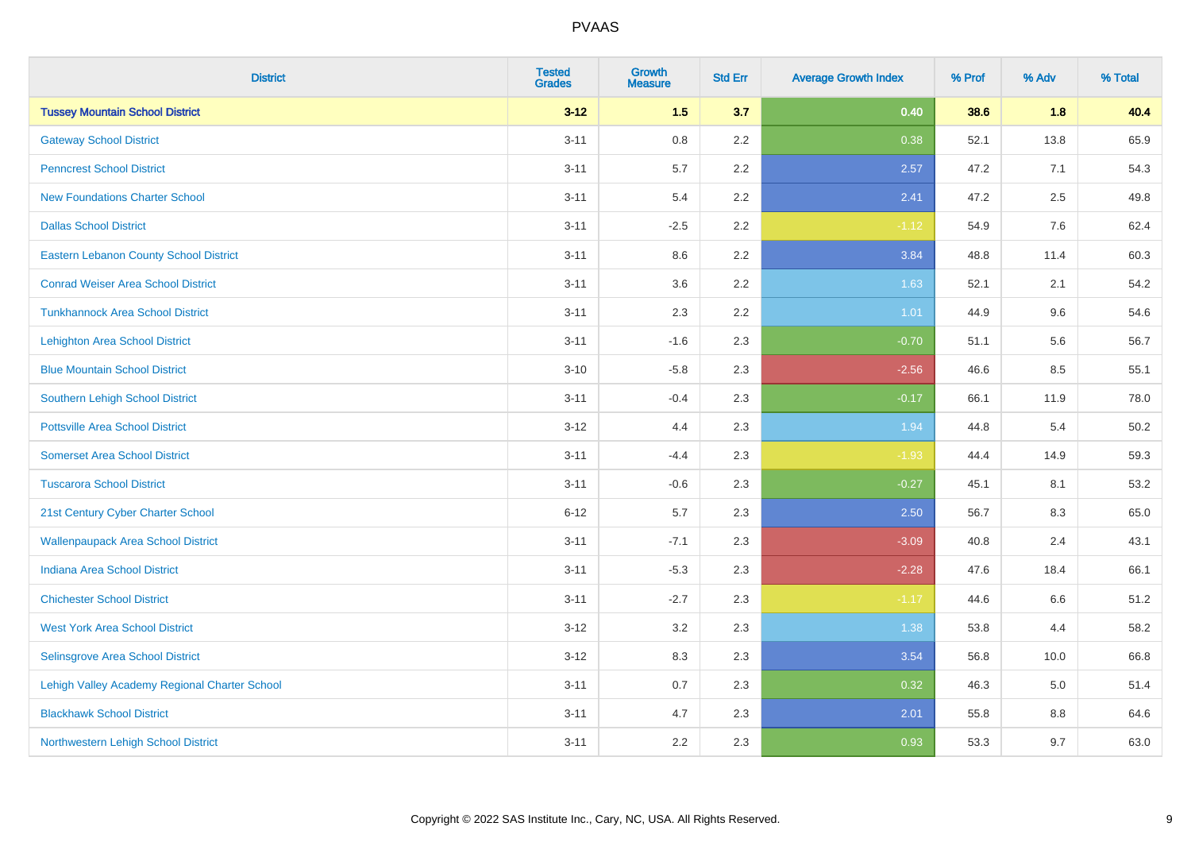| <b>District</b>                               | <b>Tested</b><br><b>Grades</b> | <b>Growth</b><br><b>Measure</b> | <b>Std Err</b> | <b>Average Growth Index</b> | % Prof | % Adv | % Total |
|-----------------------------------------------|--------------------------------|---------------------------------|----------------|-----------------------------|--------|-------|---------|
| <b>Tussey Mountain School District</b>        | $3 - 12$                       | 1.5                             | 3.7            | 0.40                        | 38.6   | 1.8   | 40.4    |
| <b>Gateway School District</b>                | $3 - 11$                       | $0.8\,$                         | 2.2            | 0.38                        | 52.1   | 13.8  | 65.9    |
| <b>Penncrest School District</b>              | $3 - 11$                       | 5.7                             | 2.2            | 2.57                        | 47.2   | 7.1   | 54.3    |
| <b>New Foundations Charter School</b>         | $3 - 11$                       | 5.4                             | 2.2            | 2.41                        | 47.2   | 2.5   | 49.8    |
| <b>Dallas School District</b>                 | $3 - 11$                       | $-2.5$                          | 2.2            | $-1.12$                     | 54.9   | 7.6   | 62.4    |
| <b>Eastern Lebanon County School District</b> | $3 - 11$                       | 8.6                             | 2.2            | 3.84                        | 48.8   | 11.4  | 60.3    |
| <b>Conrad Weiser Area School District</b>     | $3 - 11$                       | 3.6                             | 2.2            | 1.63                        | 52.1   | 2.1   | 54.2    |
| <b>Tunkhannock Area School District</b>       | $3 - 11$                       | 2.3                             | 2.2            | 1.01                        | 44.9   | 9.6   | 54.6    |
| <b>Lehighton Area School District</b>         | $3 - 11$                       | $-1.6$                          | 2.3            | $-0.70$                     | 51.1   | 5.6   | 56.7    |
| <b>Blue Mountain School District</b>          | $3 - 10$                       | $-5.8$                          | 2.3            | $-2.56$                     | 46.6   | 8.5   | 55.1    |
| Southern Lehigh School District               | $3 - 11$                       | $-0.4$                          | 2.3            | $-0.17$                     | 66.1   | 11.9  | 78.0    |
| <b>Pottsville Area School District</b>        | $3 - 12$                       | 4.4                             | 2.3            | 1.94                        | 44.8   | 5.4   | 50.2    |
| <b>Somerset Area School District</b>          | $3 - 11$                       | $-4.4$                          | 2.3            | $-1.93$                     | 44.4   | 14.9  | 59.3    |
| <b>Tuscarora School District</b>              | $3 - 11$                       | $-0.6$                          | 2.3            | $-0.27$                     | 45.1   | 8.1   | 53.2    |
| 21st Century Cyber Charter School             | $6 - 12$                       | 5.7                             | 2.3            | 2.50                        | 56.7   | 8.3   | 65.0    |
| <b>Wallenpaupack Area School District</b>     | $3 - 11$                       | $-7.1$                          | 2.3            | $-3.09$                     | 40.8   | 2.4   | 43.1    |
| <b>Indiana Area School District</b>           | $3 - 11$                       | $-5.3$                          | 2.3            | $-2.28$                     | 47.6   | 18.4  | 66.1    |
| <b>Chichester School District</b>             | $3 - 11$                       | $-2.7$                          | 2.3            | $-1.17$                     | 44.6   | 6.6   | 51.2    |
| <b>West York Area School District</b>         | $3 - 12$                       | 3.2                             | 2.3            | 1.38                        | 53.8   | 4.4   | 58.2    |
| Selinsgrove Area School District              | $3 - 12$                       | 8.3                             | 2.3            | 3.54                        | 56.8   | 10.0  | 66.8    |
| Lehigh Valley Academy Regional Charter School | $3 - 11$                       | 0.7                             | 2.3            | 0.32                        | 46.3   | 5.0   | 51.4    |
| <b>Blackhawk School District</b>              | $3 - 11$                       | 4.7                             | 2.3            | 2.01                        | 55.8   | 8.8   | 64.6    |
| Northwestern Lehigh School District           | $3 - 11$                       | 2.2                             | 2.3            | 0.93                        | 53.3   | 9.7   | 63.0    |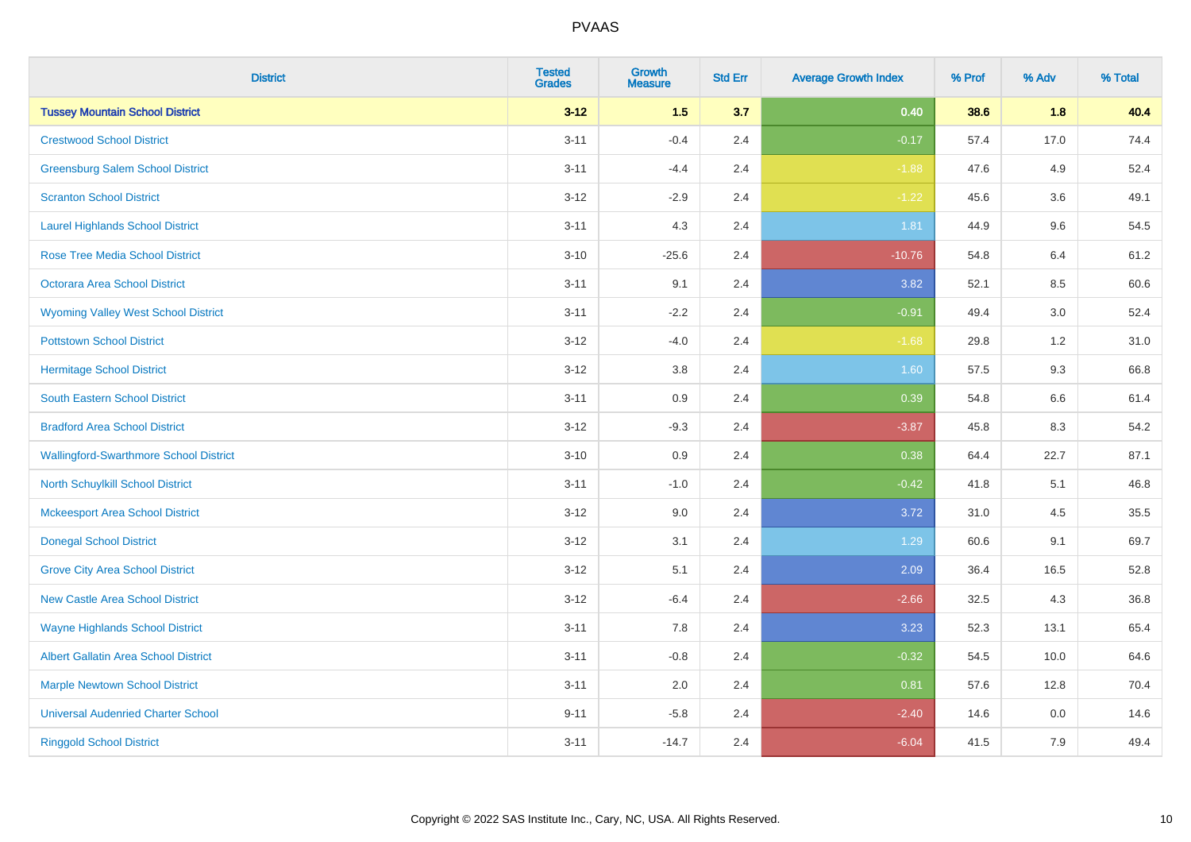| <b>District</b>                               | <b>Tested</b><br><b>Grades</b> | <b>Growth</b><br><b>Measure</b> | <b>Std Err</b> | <b>Average Growth Index</b> | % Prof | % Adv   | % Total |
|-----------------------------------------------|--------------------------------|---------------------------------|----------------|-----------------------------|--------|---------|---------|
| <b>Tussey Mountain School District</b>        | $3 - 12$                       | 1.5                             | 3.7            | 0.40                        | 38.6   | 1.8     | 40.4    |
| <b>Crestwood School District</b>              | $3 - 11$                       | $-0.4$                          | 2.4            | $-0.17$                     | 57.4   | 17.0    | 74.4    |
| <b>Greensburg Salem School District</b>       | $3 - 11$                       | $-4.4$                          | 2.4            | $-1.88$                     | 47.6   | 4.9     | 52.4    |
| <b>Scranton School District</b>               | $3 - 12$                       | $-2.9$                          | 2.4            | $-1.22$                     | 45.6   | 3.6     | 49.1    |
| <b>Laurel Highlands School District</b>       | $3 - 11$                       | 4.3                             | 2.4            | 1.81                        | 44.9   | 9.6     | 54.5    |
| <b>Rose Tree Media School District</b>        | $3 - 10$                       | $-25.6$                         | 2.4            | $-10.76$                    | 54.8   | 6.4     | 61.2    |
| Octorara Area School District                 | $3 - 11$                       | 9.1                             | 2.4            | 3.82                        | 52.1   | 8.5     | 60.6    |
| <b>Wyoming Valley West School District</b>    | $3 - 11$                       | $-2.2$                          | 2.4            | $-0.91$                     | 49.4   | 3.0     | 52.4    |
| <b>Pottstown School District</b>              | $3 - 12$                       | $-4.0$                          | 2.4            | $-1.68$                     | 29.8   | 1.2     | 31.0    |
| <b>Hermitage School District</b>              | $3 - 12$                       | 3.8                             | 2.4            | 1.60                        | 57.5   | 9.3     | 66.8    |
| South Eastern School District                 | $3 - 11$                       | 0.9                             | 2.4            | 0.39                        | 54.8   | 6.6     | 61.4    |
| <b>Bradford Area School District</b>          | $3-12$                         | $-9.3$                          | 2.4            | $-3.87$                     | 45.8   | 8.3     | 54.2    |
| <b>Wallingford-Swarthmore School District</b> | $3 - 10$                       | 0.9                             | 2.4            | 0.38                        | 64.4   | 22.7    | 87.1    |
| <b>North Schuylkill School District</b>       | $3 - 11$                       | $-1.0$                          | 2.4            | $-0.42$                     | 41.8   | 5.1     | 46.8    |
| <b>Mckeesport Area School District</b>        | $3 - 12$                       | 9.0                             | 2.4            | 3.72                        | 31.0   | 4.5     | 35.5    |
| <b>Donegal School District</b>                | $3 - 12$                       | 3.1                             | 2.4            | 1.29                        | 60.6   | 9.1     | 69.7    |
| <b>Grove City Area School District</b>        | $3 - 12$                       | 5.1                             | 2.4            | 2.09                        | 36.4   | 16.5    | 52.8    |
| <b>New Castle Area School District</b>        | $3 - 12$                       | $-6.4$                          | 2.4            | $-2.66$                     | 32.5   | 4.3     | 36.8    |
| <b>Wayne Highlands School District</b>        | $3 - 11$                       | 7.8                             | 2.4            | 3.23                        | 52.3   | 13.1    | 65.4    |
| Albert Gallatin Area School District          | $3 - 11$                       | $-0.8$                          | 2.4            | $-0.32$                     | 54.5   | 10.0    | 64.6    |
| <b>Marple Newtown School District</b>         | $3 - 11$                       | 2.0                             | 2.4            | 0.81                        | 57.6   | 12.8    | 70.4    |
| <b>Universal Audenried Charter School</b>     | $9 - 11$                       | $-5.8$                          | 2.4            | $-2.40$                     | 14.6   | $0.0\,$ | 14.6    |
| <b>Ringgold School District</b>               | $3 - 11$                       | $-14.7$                         | 2.4            | $-6.04$                     | 41.5   | 7.9     | 49.4    |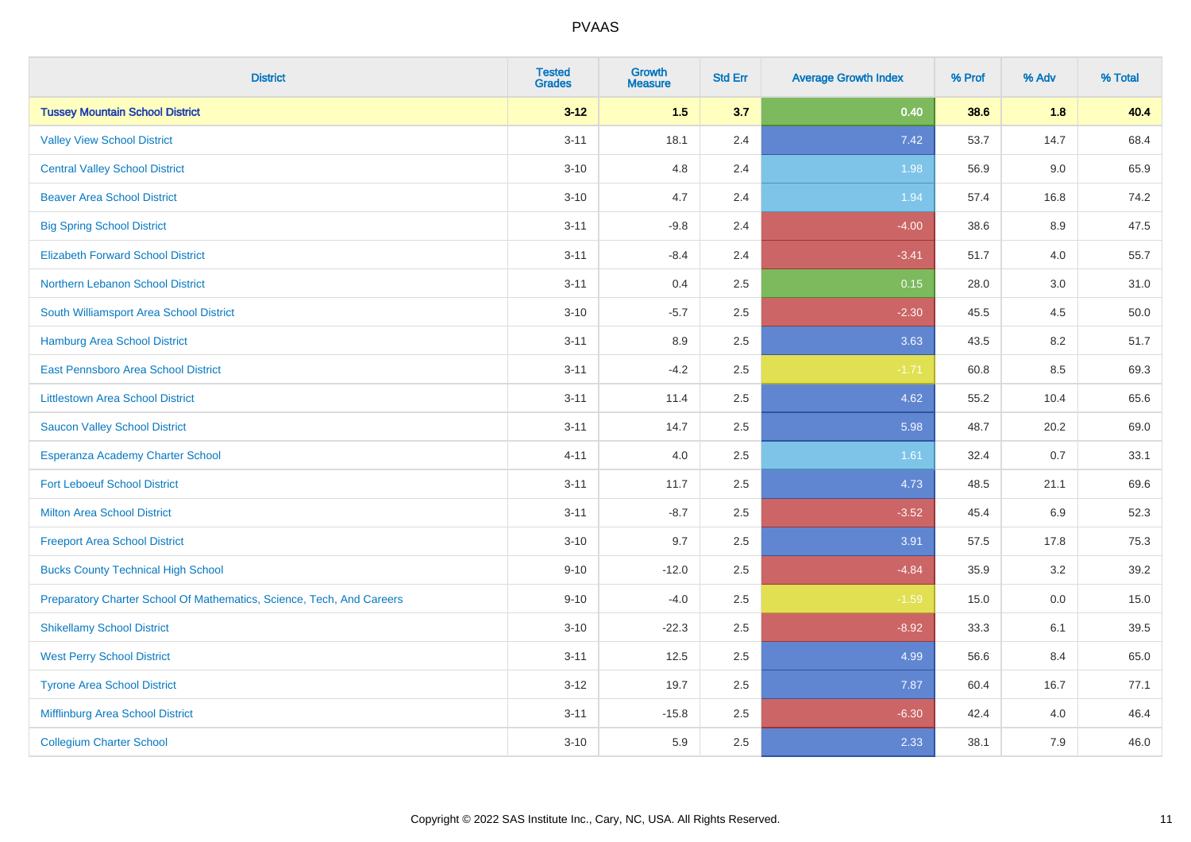| <b>District</b>                                                       | <b>Tested</b><br><b>Grades</b> | <b>Growth</b><br><b>Measure</b> | <b>Std Err</b> | <b>Average Growth Index</b> | % Prof | % Adv | % Total |
|-----------------------------------------------------------------------|--------------------------------|---------------------------------|----------------|-----------------------------|--------|-------|---------|
| <b>Tussey Mountain School District</b>                                | $3 - 12$                       | 1.5                             | 3.7            | 0.40                        | 38.6   | 1.8   | 40.4    |
| <b>Valley View School District</b>                                    | $3 - 11$                       | 18.1                            | 2.4            | 7.42                        | 53.7   | 14.7  | 68.4    |
| <b>Central Valley School District</b>                                 | $3 - 10$                       | 4.8                             | 2.4            | 1.98                        | 56.9   | 9.0   | 65.9    |
| <b>Beaver Area School District</b>                                    | $3 - 10$                       | 4.7                             | 2.4            | 1.94                        | 57.4   | 16.8  | 74.2    |
| <b>Big Spring School District</b>                                     | $3 - 11$                       | $-9.8$                          | 2.4            | $-4.00$                     | 38.6   | 8.9   | 47.5    |
| <b>Elizabeth Forward School District</b>                              | $3 - 11$                       | $-8.4$                          | 2.4            | $-3.41$                     | 51.7   | 4.0   | 55.7    |
| Northern Lebanon School District                                      | $3 - 11$                       | 0.4                             | 2.5            | 0.15                        | 28.0   | 3.0   | 31.0    |
| South Williamsport Area School District                               | $3 - 10$                       | $-5.7$                          | 2.5            | $-2.30$                     | 45.5   | 4.5   | 50.0    |
| Hamburg Area School District                                          | $3 - 11$                       | 8.9                             | 2.5            | 3.63                        | 43.5   | 8.2   | 51.7    |
| East Pennsboro Area School District                                   | $3 - 11$                       | $-4.2$                          | 2.5            | $-1.71$                     | 60.8   | 8.5   | 69.3    |
| <b>Littlestown Area School District</b>                               | $3 - 11$                       | 11.4                            | 2.5            | 4.62                        | 55.2   | 10.4  | 65.6    |
| <b>Saucon Valley School District</b>                                  | $3 - 11$                       | 14.7                            | 2.5            | 5.98                        | 48.7   | 20.2  | 69.0    |
| Esperanza Academy Charter School                                      | $4 - 11$                       | 4.0                             | 2.5            | 1.61                        | 32.4   | 0.7   | 33.1    |
| <b>Fort Leboeuf School District</b>                                   | $3 - 11$                       | 11.7                            | 2.5            | 4.73                        | 48.5   | 21.1  | 69.6    |
| <b>Milton Area School District</b>                                    | $3 - 11$                       | $-8.7$                          | 2.5            | $-3.52$                     | 45.4   | 6.9   | 52.3    |
| <b>Freeport Area School District</b>                                  | $3 - 10$                       | 9.7                             | 2.5            | 3.91                        | 57.5   | 17.8  | 75.3    |
| <b>Bucks County Technical High School</b>                             | $9 - 10$                       | $-12.0$                         | 2.5            | $-4.84$                     | 35.9   | 3.2   | 39.2    |
| Preparatory Charter School Of Mathematics, Science, Tech, And Careers | $9 - 10$                       | $-4.0$                          | 2.5            | $-1.59$                     | 15.0   | 0.0   | 15.0    |
| <b>Shikellamy School District</b>                                     | $3 - 10$                       | $-22.3$                         | 2.5            | $-8.92$                     | 33.3   | 6.1   | 39.5    |
| <b>West Perry School District</b>                                     | $3 - 11$                       | 12.5                            | 2.5            | 4.99                        | 56.6   | 8.4   | 65.0    |
| <b>Tyrone Area School District</b>                                    | $3-12$                         | 19.7                            | 2.5            | 7.87                        | 60.4   | 16.7  | 77.1    |
| Mifflinburg Area School District                                      | $3 - 11$                       | $-15.8$                         | 2.5            | $-6.30$                     | 42.4   | 4.0   | 46.4    |
| <b>Collegium Charter School</b>                                       | $3 - 10$                       | 5.9                             | 2.5            | 2.33                        | 38.1   | 7.9   | 46.0    |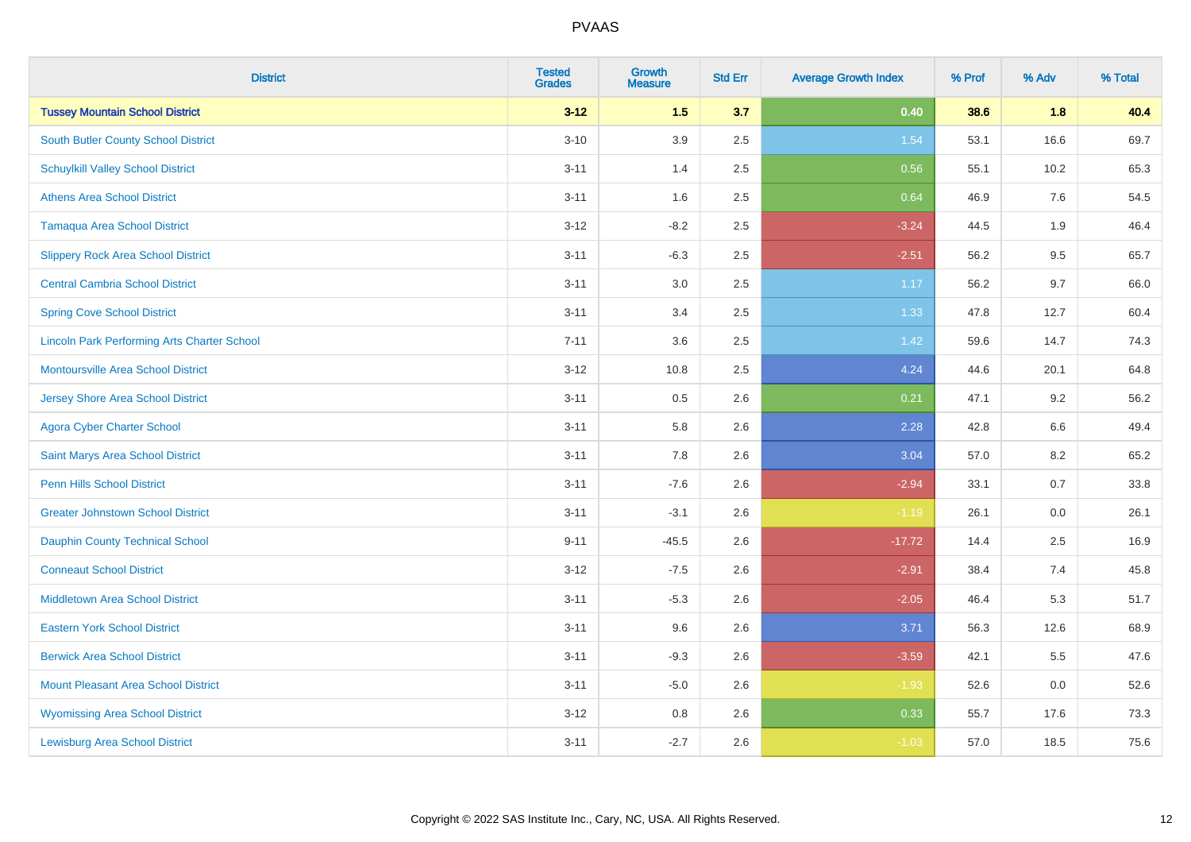| <b>District</b>                                    | <b>Tested</b><br><b>Grades</b> | <b>Growth</b><br><b>Measure</b> | <b>Std Err</b> | <b>Average Growth Index</b> | % Prof | % Adv | % Total |
|----------------------------------------------------|--------------------------------|---------------------------------|----------------|-----------------------------|--------|-------|---------|
| <b>Tussey Mountain School District</b>             | $3 - 12$                       | 1.5                             | 3.7            | 0.40                        | 38.6   | 1.8   | 40.4    |
| South Butler County School District                | $3 - 10$                       | 3.9                             | 2.5            | 1.54                        | 53.1   | 16.6  | 69.7    |
| <b>Schuylkill Valley School District</b>           | $3 - 11$                       | 1.4                             | 2.5            | 0.56                        | 55.1   | 10.2  | 65.3    |
| <b>Athens Area School District</b>                 | $3 - 11$                       | 1.6                             | 2.5            | 0.64                        | 46.9   | 7.6   | 54.5    |
| <b>Tamaqua Area School District</b>                | $3 - 12$                       | $-8.2$                          | 2.5            | $-3.24$                     | 44.5   | 1.9   | 46.4    |
| <b>Slippery Rock Area School District</b>          | $3 - 11$                       | $-6.3$                          | 2.5            | $-2.51$                     | 56.2   | 9.5   | 65.7    |
| <b>Central Cambria School District</b>             | $3 - 11$                       | 3.0                             | 2.5            | 1.17                        | 56.2   | 9.7   | 66.0    |
| <b>Spring Cove School District</b>                 | $3 - 11$                       | 3.4                             | 2.5            | 1.33                        | 47.8   | 12.7  | 60.4    |
| <b>Lincoln Park Performing Arts Charter School</b> | $7 - 11$                       | 3.6                             | 2.5            | 1.42                        | 59.6   | 14.7  | 74.3    |
| <b>Montoursville Area School District</b>          | $3 - 12$                       | 10.8                            | 2.5            | 4.24                        | 44.6   | 20.1  | 64.8    |
| <b>Jersey Shore Area School District</b>           | $3 - 11$                       | 0.5                             | 2.6            | 0.21                        | 47.1   | 9.2   | 56.2    |
| <b>Agora Cyber Charter School</b>                  | $3 - 11$                       | 5.8                             | 2.6            | 2.28                        | 42.8   | 6.6   | 49.4    |
| Saint Marys Area School District                   | $3 - 11$                       | 7.8                             | 2.6            | 3.04                        | 57.0   | 8.2   | 65.2    |
| Penn Hills School District                         | $3 - 11$                       | $-7.6$                          | 2.6            | $-2.94$                     | 33.1   | 0.7   | 33.8    |
| <b>Greater Johnstown School District</b>           | $3 - 11$                       | $-3.1$                          | 2.6            | $-1.19$                     | 26.1   | 0.0   | 26.1    |
| <b>Dauphin County Technical School</b>             | $9 - 11$                       | $-45.5$                         | 2.6            | $-17.72$                    | 14.4   | 2.5   | 16.9    |
| <b>Conneaut School District</b>                    | $3 - 12$                       | $-7.5$                          | 2.6            | $-2.91$                     | 38.4   | 7.4   | 45.8    |
| <b>Middletown Area School District</b>             | $3 - 11$                       | $-5.3$                          | 2.6            | $-2.05$                     | 46.4   | 5.3   | 51.7    |
| <b>Eastern York School District</b>                | $3 - 11$                       | 9.6                             | 2.6            | 3.71                        | 56.3   | 12.6  | 68.9    |
| <b>Berwick Area School District</b>                | $3 - 11$                       | $-9.3$                          | 2.6            | $-3.59$                     | 42.1   | 5.5   | 47.6    |
| <b>Mount Pleasant Area School District</b>         | $3 - 11$                       | $-5.0$                          | 2.6            | $-1.93$                     | 52.6   | 0.0   | 52.6    |
| <b>Wyomissing Area School District</b>             | $3 - 12$                       | $0.8\,$                         | 2.6            | 0.33                        | 55.7   | 17.6  | 73.3    |
| <b>Lewisburg Area School District</b>              | $3 - 11$                       | $-2.7$                          | 2.6            | $-1.03$                     | 57.0   | 18.5  | 75.6    |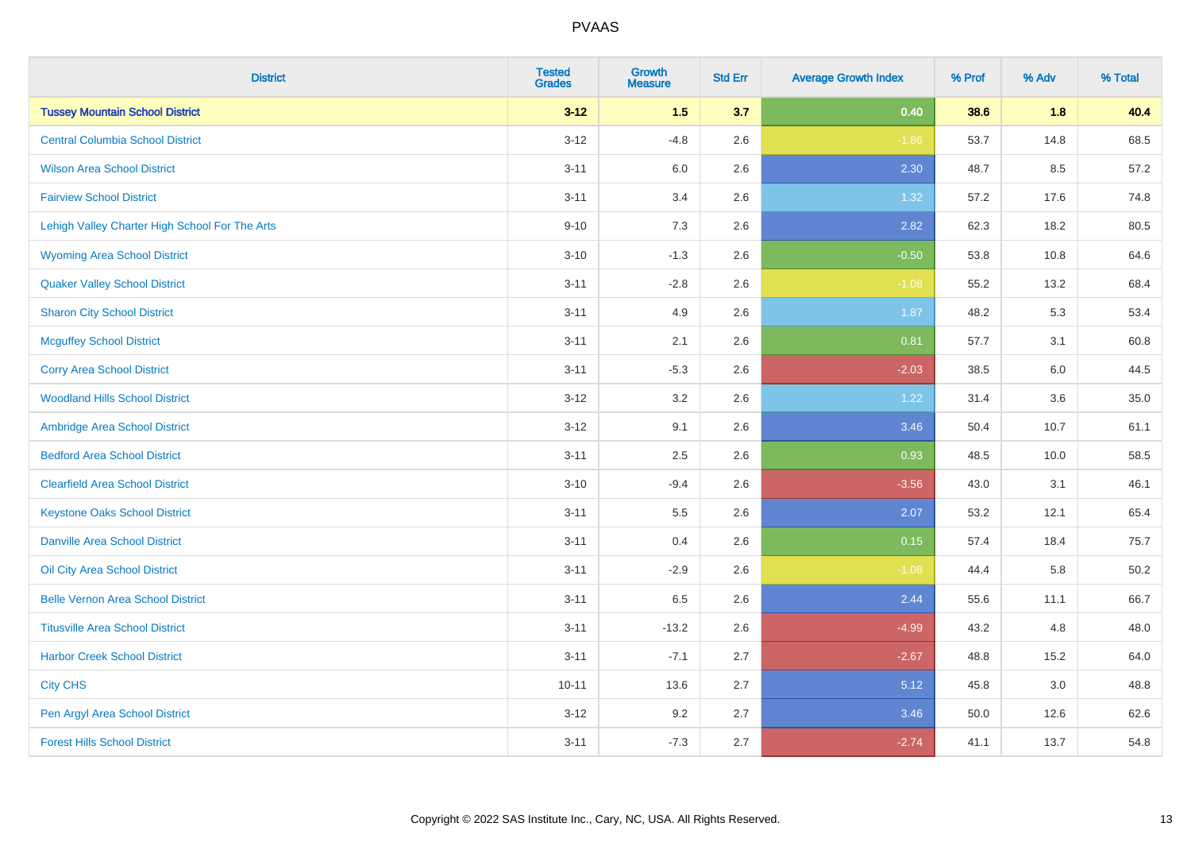| <b>District</b>                                | <b>Tested</b><br><b>Grades</b> | <b>Growth</b><br><b>Measure</b> | <b>Std Err</b> | <b>Average Growth Index</b> | % Prof | % Adv | % Total  |
|------------------------------------------------|--------------------------------|---------------------------------|----------------|-----------------------------|--------|-------|----------|
| <b>Tussey Mountain School District</b>         | $3 - 12$                       | 1.5                             | 3.7            | 0.40                        | 38.6   | 1.8   | 40.4     |
| <b>Central Columbia School District</b>        | $3 - 12$                       | $-4.8$                          | 2.6            | $-1.86$                     | 53.7   | 14.8  | 68.5     |
| <b>Wilson Area School District</b>             | $3 - 11$                       | 6.0                             | 2.6            | 2.30                        | 48.7   | 8.5   | 57.2     |
| <b>Fairview School District</b>                | $3 - 11$                       | 3.4                             | 2.6            | 1.32                        | 57.2   | 17.6  | 74.8     |
| Lehigh Valley Charter High School For The Arts | $9 - 10$                       | 7.3                             | 2.6            | 2.82                        | 62.3   | 18.2  | 80.5     |
| <b>Wyoming Area School District</b>            | $3 - 10$                       | $-1.3$                          | 2.6            | $-0.50$                     | 53.8   | 10.8  | 64.6     |
| <b>Quaker Valley School District</b>           | $3 - 11$                       | $-2.8$                          | 2.6            | $-1.08$                     | 55.2   | 13.2  | 68.4     |
| <b>Sharon City School District</b>             | $3 - 11$                       | 4.9                             | 2.6            | 1.87                        | 48.2   | 5.3   | 53.4     |
| <b>Mcguffey School District</b>                | $3 - 11$                       | 2.1                             | 2.6            | 0.81                        | 57.7   | 3.1   | 60.8     |
| <b>Corry Area School District</b>              | $3 - 11$                       | $-5.3$                          | 2.6            | $-2.03$                     | 38.5   | 6.0   | 44.5     |
| <b>Woodland Hills School District</b>          | $3 - 12$                       | 3.2                             | 2.6            | 1.22                        | 31.4   | 3.6   | 35.0     |
| Ambridge Area School District                  | $3 - 12$                       | 9.1                             | 2.6            | 3.46                        | 50.4   | 10.7  | 61.1     |
| <b>Bedford Area School District</b>            | $3 - 11$                       | 2.5                             | 2.6            | 0.93                        | 48.5   | 10.0  | 58.5     |
| <b>Clearfield Area School District</b>         | $3 - 10$                       | $-9.4$                          | 2.6            | $-3.56$                     | 43.0   | 3.1   | 46.1     |
| <b>Keystone Oaks School District</b>           | $3 - 11$                       | $5.5\,$                         | 2.6            | 2.07                        | 53.2   | 12.1  | 65.4     |
| <b>Danville Area School District</b>           | $3 - 11$                       | 0.4                             | 2.6            | 0.15                        | 57.4   | 18.4  | 75.7     |
| Oil City Area School District                  | $3 - 11$                       | $-2.9$                          | 2.6            | $-1.08$                     | 44.4   | 5.8   | $50.2\,$ |
| <b>Belle Vernon Area School District</b>       | $3 - 11$                       | 6.5                             | 2.6            | 2.44                        | 55.6   | 11.1  | 66.7     |
| <b>Titusville Area School District</b>         | $3 - 11$                       | $-13.2$                         | 2.6            | $-4.99$                     | 43.2   | 4.8   | 48.0     |
| <b>Harbor Creek School District</b>            | $3 - 11$                       | $-7.1$                          | 2.7            | $-2.67$                     | 48.8   | 15.2  | 64.0     |
| <b>City CHS</b>                                | $10 - 11$                      | 13.6                            | 2.7            | 5.12                        | 45.8   | 3.0   | 48.8     |
| Pen Argyl Area School District                 | $3 - 12$                       | 9.2                             | 2.7            | 3.46                        | 50.0   | 12.6  | 62.6     |
| <b>Forest Hills School District</b>            | $3 - 11$                       | $-7.3$                          | 2.7            | $-2.74$                     | 41.1   | 13.7  | 54.8     |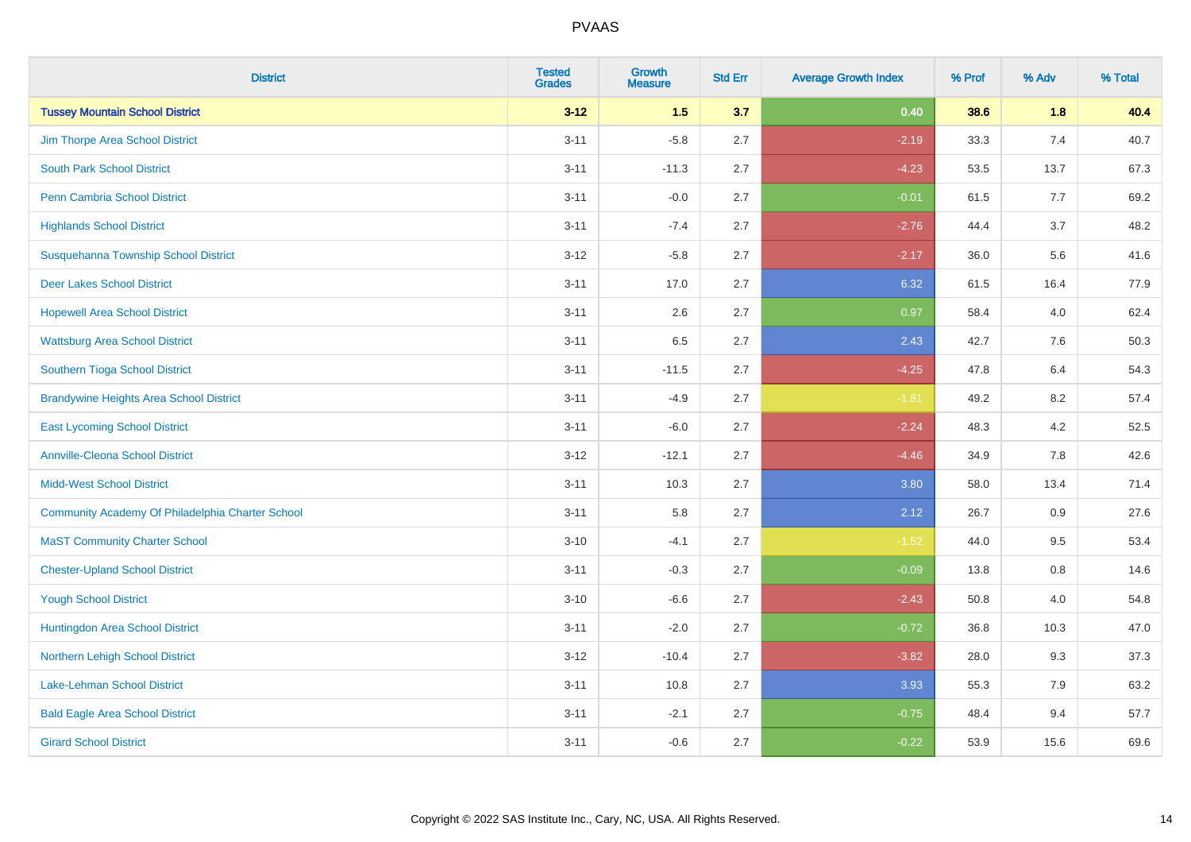| <b>District</b>                                  | <b>Tested</b><br><b>Grades</b> | <b>Growth</b><br><b>Measure</b> | <b>Std Err</b> | <b>Average Growth Index</b> | % Prof | % Adv   | % Total |
|--------------------------------------------------|--------------------------------|---------------------------------|----------------|-----------------------------|--------|---------|---------|
| <b>Tussey Mountain School District</b>           | $3 - 12$                       | 1.5                             | 3.7            | 0.40                        | 38.6   | 1.8     | 40.4    |
| Jim Thorpe Area School District                  | $3 - 11$                       | $-5.8$                          | 2.7            | $-2.19$                     | 33.3   | 7.4     | 40.7    |
| <b>South Park School District</b>                | $3 - 11$                       | $-11.3$                         | 2.7            | $-4.23$                     | 53.5   | 13.7    | 67.3    |
| Penn Cambria School District                     | $3 - 11$                       | $-0.0$                          | 2.7            | $-0.01$                     | 61.5   | 7.7     | 69.2    |
| <b>Highlands School District</b>                 | $3 - 11$                       | $-7.4$                          | 2.7            | $-2.76$                     | 44.4   | 3.7     | 48.2    |
| Susquehanna Township School District             | $3 - 12$                       | $-5.8$                          | 2.7            | $-2.17$                     | 36.0   | 5.6     | 41.6    |
| <b>Deer Lakes School District</b>                | $3 - 11$                       | 17.0                            | 2.7            | 6.32                        | 61.5   | 16.4    | 77.9    |
| <b>Hopewell Area School District</b>             | $3 - 11$                       | 2.6                             | 2.7            | 0.97                        | 58.4   | 4.0     | 62.4    |
| <b>Wattsburg Area School District</b>            | $3 - 11$                       | 6.5                             | 2.7            | 2.43                        | 42.7   | 7.6     | 50.3    |
| Southern Tioga School District                   | $3 - 11$                       | $-11.5$                         | 2.7            | $-4.25$                     | 47.8   | 6.4     | 54.3    |
| <b>Brandywine Heights Area School District</b>   | $3 - 11$                       | $-4.9$                          | 2.7            | $-1.81$                     | 49.2   | 8.2     | 57.4    |
| <b>East Lycoming School District</b>             | $3 - 11$                       | $-6.0$                          | 2.7            | $-2.24$                     | 48.3   | 4.2     | 52.5    |
| <b>Annville-Cleona School District</b>           | $3 - 12$                       | $-12.1$                         | 2.7            | $-4.46$                     | 34.9   | $7.8\,$ | 42.6    |
| <b>Midd-West School District</b>                 | $3 - 11$                       | 10.3                            | 2.7            | 3.80                        | 58.0   | 13.4    | 71.4    |
| Community Academy Of Philadelphia Charter School | $3 - 11$                       | 5.8                             | 2.7            | 2.12                        | 26.7   | 0.9     | 27.6    |
| <b>MaST Community Charter School</b>             | $3 - 10$                       | $-4.1$                          | 2.7            | $-1.52$                     | 44.0   | 9.5     | 53.4    |
| <b>Chester-Upland School District</b>            | $3 - 11$                       | $-0.3$                          | 2.7            | $-0.09$                     | 13.8   | 0.8     | 14.6    |
| <b>Yough School District</b>                     | $3 - 10$                       | $-6.6$                          | 2.7            | $-2.43$                     | 50.8   | 4.0     | 54.8    |
| Huntingdon Area School District                  | $3 - 11$                       | $-2.0$                          | 2.7            | $-0.72$                     | 36.8   | 10.3    | 47.0    |
| Northern Lehigh School District                  | $3 - 12$                       | $-10.4$                         | 2.7            | $-3.82$                     | 28.0   | 9.3     | 37.3    |
| <b>Lake-Lehman School District</b>               | $3 - 11$                       | 10.8                            | 2.7            | 3.93                        | 55.3   | 7.9     | 63.2    |
| <b>Bald Eagle Area School District</b>           | $3 - 11$                       | $-2.1$                          | 2.7            | $-0.75$                     | 48.4   | 9.4     | 57.7    |
| <b>Girard School District</b>                    | $3 - 11$                       | $-0.6$                          | 2.7            | $-0.22$                     | 53.9   | 15.6    | 69.6    |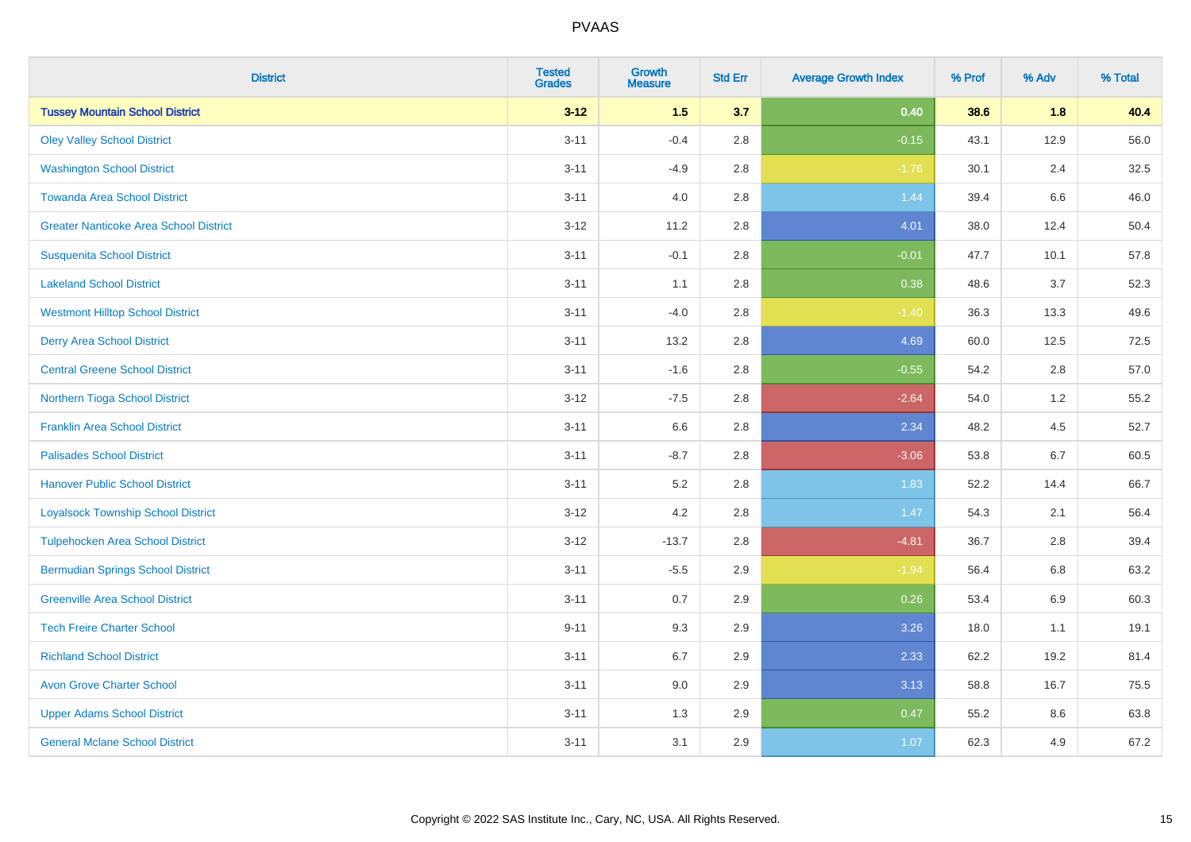| <b>District</b>                               | <b>Tested</b><br><b>Grades</b> | <b>Growth</b><br><b>Measure</b> | <b>Std Err</b> | <b>Average Growth Index</b> | % Prof | % Adv   | % Total |
|-----------------------------------------------|--------------------------------|---------------------------------|----------------|-----------------------------|--------|---------|---------|
| <b>Tussey Mountain School District</b>        | $3 - 12$                       | 1.5                             | 3.7            | 0.40                        | 38.6   | 1.8     | 40.4    |
| <b>Oley Valley School District</b>            | $3 - 11$                       | $-0.4$                          | 2.8            | $-0.15$                     | 43.1   | 12.9    | 56.0    |
| <b>Washington School District</b>             | $3 - 11$                       | $-4.9$                          | 2.8            | $-1.76$                     | 30.1   | 2.4     | 32.5    |
| <b>Towanda Area School District</b>           | $3 - 11$                       | 4.0                             | 2.8            | 1.44                        | 39.4   | $6.6\,$ | 46.0    |
| <b>Greater Nanticoke Area School District</b> | $3 - 12$                       | 11.2                            | 2.8            | 4.01                        | 38.0   | 12.4    | 50.4    |
| <b>Susquenita School District</b>             | $3 - 11$                       | $-0.1$                          | 2.8            | $-0.01$                     | 47.7   | 10.1    | 57.8    |
| <b>Lakeland School District</b>               | $3 - 11$                       | 1.1                             | 2.8            | 0.38                        | 48.6   | 3.7     | 52.3    |
| <b>Westmont Hilltop School District</b>       | $3 - 11$                       | $-4.0$                          | 2.8            | $-1.40$                     | 36.3   | 13.3    | 49.6    |
| <b>Derry Area School District</b>             | $3 - 11$                       | 13.2                            | 2.8            | 4.69                        | 60.0   | 12.5    | 72.5    |
| <b>Central Greene School District</b>         | $3 - 11$                       | $-1.6$                          | 2.8            | $-0.55$                     | 54.2   | 2.8     | 57.0    |
| Northern Tioga School District                | $3 - 12$                       | $-7.5$                          | 2.8            | $-2.64$                     | 54.0   | 1.2     | 55.2    |
| <b>Franklin Area School District</b>          | $3 - 11$                       | 6.6                             | 2.8            | 2.34                        | 48.2   | 4.5     | 52.7    |
| <b>Palisades School District</b>              | $3 - 11$                       | $-8.7$                          | 2.8            | $-3.06$                     | 53.8   | 6.7     | 60.5    |
| <b>Hanover Public School District</b>         | $3 - 11$                       | 5.2                             | 2.8            | 1.83                        | 52.2   | 14.4    | 66.7    |
| <b>Loyalsock Township School District</b>     | $3 - 12$                       | 4.2                             | 2.8            | 1.47                        | 54.3   | 2.1     | 56.4    |
| <b>Tulpehocken Area School District</b>       | $3 - 12$                       | $-13.7$                         | 2.8            | $-4.81$                     | 36.7   | 2.8     | 39.4    |
| <b>Bermudian Springs School District</b>      | $3 - 11$                       | $-5.5$                          | 2.9            | $-1.94$                     | 56.4   | 6.8     | 63.2    |
| <b>Greenville Area School District</b>        | $3 - 11$                       | 0.7                             | 2.9            | 0.26                        | 53.4   | 6.9     | 60.3    |
| <b>Tech Freire Charter School</b>             | $9 - 11$                       | 9.3                             | 2.9            | 3.26                        | 18.0   | 1.1     | 19.1    |
| <b>Richland School District</b>               | $3 - 11$                       | 6.7                             | 2.9            | 2.33                        | 62.2   | 19.2    | 81.4    |
| <b>Avon Grove Charter School</b>              | $3 - 11$                       | 9.0                             | 2.9            | 3.13                        | 58.8   | 16.7    | 75.5    |
| <b>Upper Adams School District</b>            | $3 - 11$                       | 1.3                             | 2.9            | 0.47                        | 55.2   | 8.6     | 63.8    |
| <b>General Mclane School District</b>         | $3 - 11$                       | 3.1                             | 2.9            | 1.07                        | 62.3   | 4.9     | 67.2    |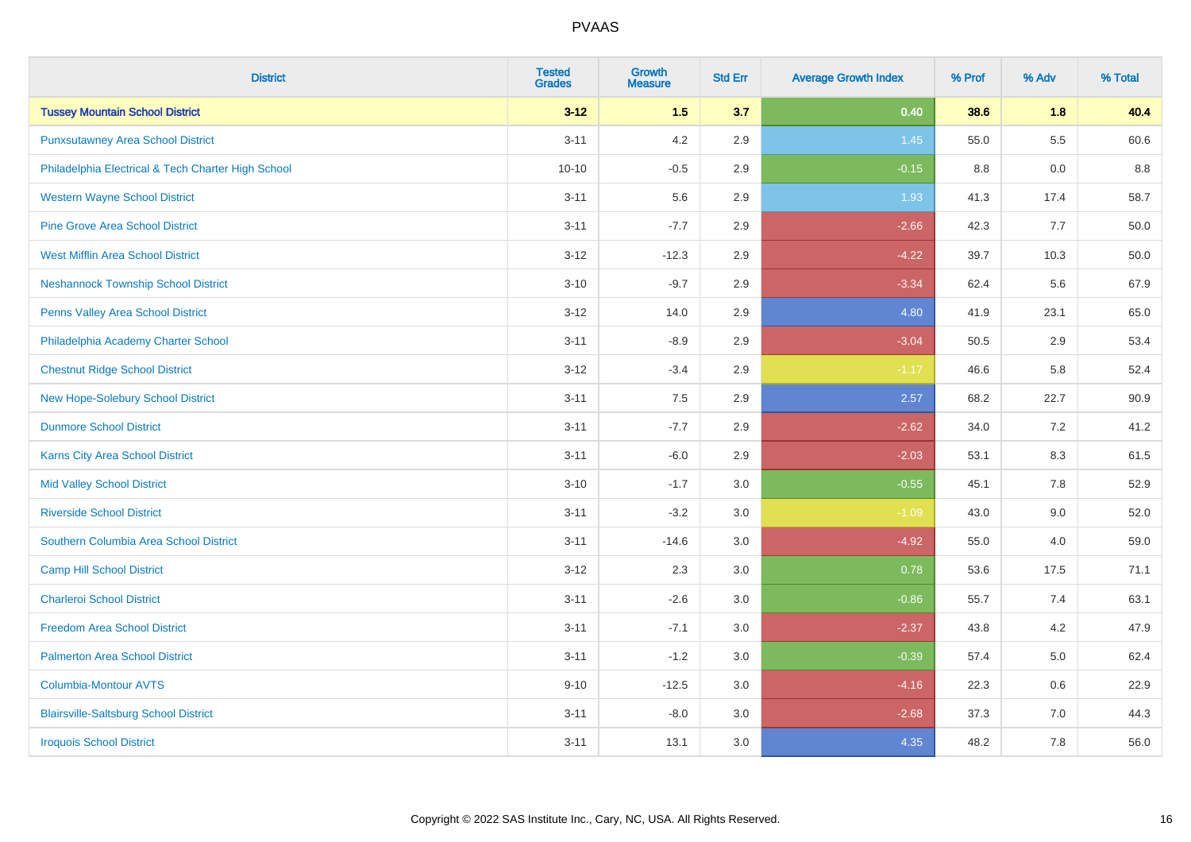| <b>District</b>                                    | <b>Tested</b><br><b>Grades</b> | <b>Growth</b><br><b>Measure</b> | <b>Std Err</b> | <b>Average Growth Index</b> | % Prof | % Adv   | % Total |
|----------------------------------------------------|--------------------------------|---------------------------------|----------------|-----------------------------|--------|---------|---------|
| <b>Tussey Mountain School District</b>             | $3 - 12$                       | 1.5                             | 3.7            | 0.40                        | 38.6   | 1.8     | 40.4    |
| <b>Punxsutawney Area School District</b>           | $3 - 11$                       | 4.2                             | 2.9            | 1.45                        | 55.0   | $5.5\,$ | 60.6    |
| Philadelphia Electrical & Tech Charter High School | $10 - 10$                      | $-0.5$                          | 2.9            | $-0.15$                     | 8.8    | 0.0     | $8.8\,$ |
| <b>Western Wayne School District</b>               | $3 - 11$                       | 5.6                             | 2.9            | 1.93                        | 41.3   | 17.4    | 58.7    |
| <b>Pine Grove Area School District</b>             | $3 - 11$                       | $-7.7$                          | 2.9            | $-2.66$                     | 42.3   | 7.7     | 50.0    |
| <b>West Mifflin Area School District</b>           | $3 - 12$                       | $-12.3$                         | 2.9            | $-4.22$                     | 39.7   | 10.3    | 50.0    |
| <b>Neshannock Township School District</b>         | $3 - 10$                       | $-9.7$                          | 2.9            | $-3.34$                     | 62.4   | 5.6     | 67.9    |
| <b>Penns Valley Area School District</b>           | $3 - 12$                       | 14.0                            | 2.9            | 4.80                        | 41.9   | 23.1    | 65.0    |
| Philadelphia Academy Charter School                | $3 - 11$                       | $-8.9$                          | 2.9            | $-3.04$                     | 50.5   | 2.9     | 53.4    |
| <b>Chestnut Ridge School District</b>              | $3 - 12$                       | $-3.4$                          | 2.9            | $-1.17$                     | 46.6   | 5.8     | 52.4    |
| New Hope-Solebury School District                  | $3 - 11$                       | 7.5                             | 2.9            | 2.57                        | 68.2   | 22.7    | 90.9    |
| <b>Dunmore School District</b>                     | $3 - 11$                       | $-7.7$                          | 2.9            | $-2.62$                     | 34.0   | 7.2     | 41.2    |
| Karns City Area School District                    | $3 - 11$                       | $-6.0$                          | 2.9            | $-2.03$                     | 53.1   | 8.3     | 61.5    |
| <b>Mid Valley School District</b>                  | $3 - 10$                       | $-1.7$                          | 3.0            | $-0.55$                     | 45.1   | $7.8\,$ | 52.9    |
| <b>Riverside School District</b>                   | $3 - 11$                       | $-3.2$                          | 3.0            | $-1.09$                     | 43.0   | 9.0     | 52.0    |
| Southern Columbia Area School District             | $3 - 11$                       | $-14.6$                         | 3.0            | $-4.92$                     | 55.0   | 4.0     | 59.0    |
| <b>Camp Hill School District</b>                   | $3 - 12$                       | 2.3                             | 3.0            | 0.78                        | 53.6   | 17.5    | 71.1    |
| <b>Charleroi School District</b>                   | $3 - 11$                       | $-2.6$                          | 3.0            | $-0.86$                     | 55.7   | 7.4     | 63.1    |
| <b>Freedom Area School District</b>                | $3 - 11$                       | $-7.1$                          | 3.0            | $-2.37$                     | 43.8   | 4.2     | 47.9    |
| <b>Palmerton Area School District</b>              | $3 - 11$                       | $-1.2$                          | 3.0            | $-0.39$                     | 57.4   | 5.0     | 62.4    |
| <b>Columbia-Montour AVTS</b>                       | $9 - 10$                       | $-12.5$                         | 3.0            | $-4.16$                     | 22.3   | 0.6     | 22.9    |
| <b>Blairsville-Saltsburg School District</b>       | $3 - 11$                       | $-8.0$                          | 3.0            | $-2.68$                     | 37.3   | 7.0     | 44.3    |
| <b>Iroquois School District</b>                    | $3 - 11$                       | 13.1                            | 3.0            | 4.35                        | 48.2   | 7.8     | 56.0    |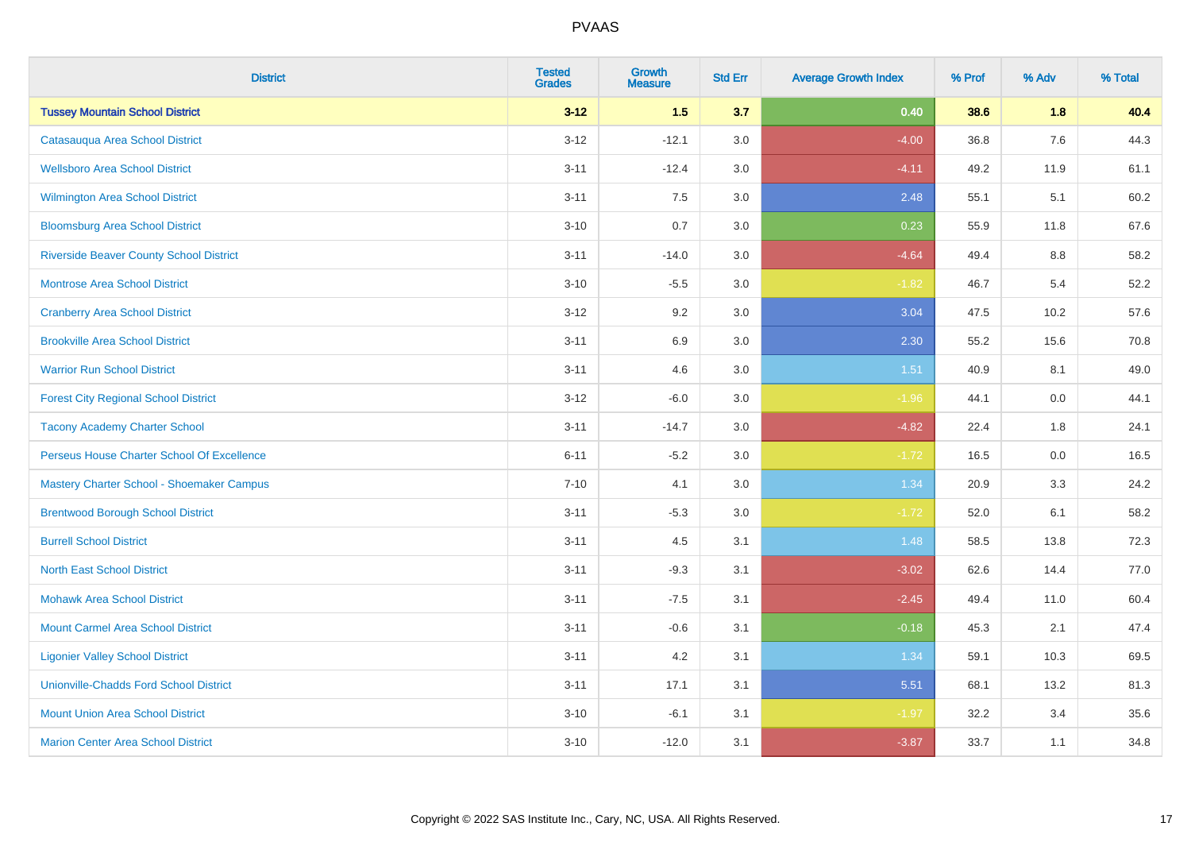| <b>District</b>                                | <b>Tested</b><br><b>Grades</b> | <b>Growth</b><br><b>Measure</b> | <b>Std Err</b> | <b>Average Growth Index</b> | % Prof | % Adv   | % Total |
|------------------------------------------------|--------------------------------|---------------------------------|----------------|-----------------------------|--------|---------|---------|
| <b>Tussey Mountain School District</b>         | $3 - 12$                       | $1.5$                           | 3.7            | 0.40                        | 38.6   | 1.8     | 40.4    |
| Catasaugua Area School District                | $3 - 12$                       | $-12.1$                         | 3.0            | $-4.00$                     | 36.8   | 7.6     | 44.3    |
| <b>Wellsboro Area School District</b>          | $3 - 11$                       | $-12.4$                         | 3.0            | $-4.11$                     | 49.2   | 11.9    | 61.1    |
| Wilmington Area School District                | $3 - 11$                       | 7.5                             | 3.0            | 2.48                        | 55.1   | 5.1     | 60.2    |
| <b>Bloomsburg Area School District</b>         | $3 - 10$                       | 0.7                             | 3.0            | 0.23                        | 55.9   | 11.8    | 67.6    |
| <b>Riverside Beaver County School District</b> | $3 - 11$                       | $-14.0$                         | 3.0            | $-4.64$                     | 49.4   | 8.8     | 58.2    |
| <b>Montrose Area School District</b>           | $3 - 10$                       | $-5.5$                          | 3.0            | $-1.82$                     | 46.7   | 5.4     | 52.2    |
| <b>Cranberry Area School District</b>          | $3 - 12$                       | 9.2                             | 3.0            | 3.04                        | 47.5   | 10.2    | 57.6    |
| <b>Brookville Area School District</b>         | $3 - 11$                       | 6.9                             | 3.0            | 2.30                        | 55.2   | 15.6    | 70.8    |
| <b>Warrior Run School District</b>             | $3 - 11$                       | 4.6                             | 3.0            | 1.51                        | 40.9   | 8.1     | 49.0    |
| <b>Forest City Regional School District</b>    | $3 - 12$                       | $-6.0$                          | 3.0            | $-1.96$                     | 44.1   | 0.0     | 44.1    |
| <b>Tacony Academy Charter School</b>           | $3 - 11$                       | $-14.7$                         | 3.0            | $-4.82$                     | 22.4   | 1.8     | 24.1    |
| Perseus House Charter School Of Excellence     | $6 - 11$                       | $-5.2$                          | 3.0            | $-1.72$                     | 16.5   | $0.0\,$ | 16.5    |
| Mastery Charter School - Shoemaker Campus      | $7 - 10$                       | 4.1                             | 3.0            | 1.34                        | 20.9   | 3.3     | 24.2    |
| <b>Brentwood Borough School District</b>       | $3 - 11$                       | $-5.3$                          | 3.0            | $-1.72$                     | 52.0   | 6.1     | 58.2    |
| <b>Burrell School District</b>                 | $3 - 11$                       | 4.5                             | 3.1            | 1.48                        | 58.5   | 13.8    | 72.3    |
| <b>North East School District</b>              | $3 - 11$                       | $-9.3$                          | 3.1            | $-3.02$                     | 62.6   | 14.4    | 77.0    |
| <b>Mohawk Area School District</b>             | $3 - 11$                       | $-7.5$                          | 3.1            | $-2.45$                     | 49.4   | 11.0    | 60.4    |
| <b>Mount Carmel Area School District</b>       | $3 - 11$                       | $-0.6$                          | 3.1            | $-0.18$                     | 45.3   | 2.1     | 47.4    |
| <b>Ligonier Valley School District</b>         | $3 - 11$                       | 4.2                             | 3.1            | 1.34                        | 59.1   | 10.3    | 69.5    |
| <b>Unionville-Chadds Ford School District</b>  | $3 - 11$                       | 17.1                            | 3.1            | 5.51                        | 68.1   | 13.2    | 81.3    |
| <b>Mount Union Area School District</b>        | $3 - 10$                       | $-6.1$                          | 3.1            | $-1.97$                     | 32.2   | 3.4     | 35.6    |
| <b>Marion Center Area School District</b>      | $3 - 10$                       | $-12.0$                         | 3.1            | $-3.87$                     | 33.7   | 1.1     | 34.8    |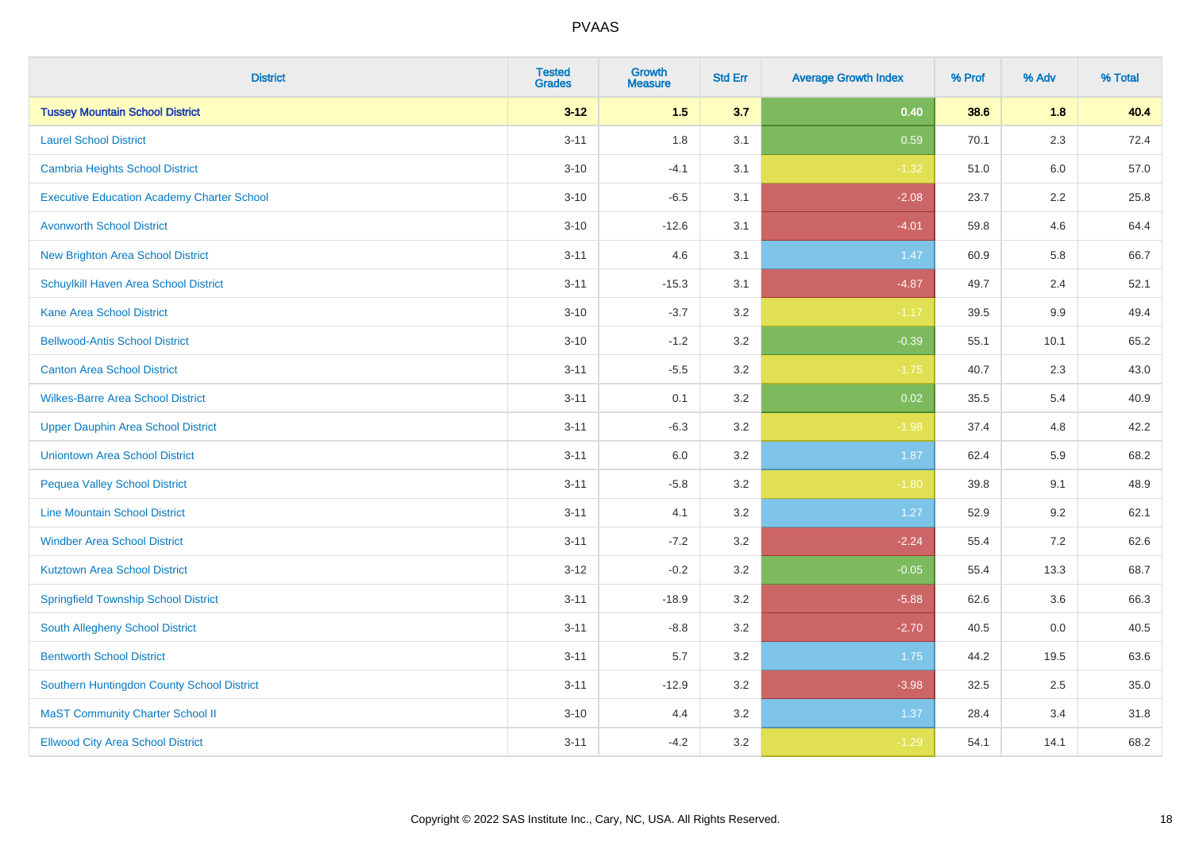| <b>District</b>                                   | <b>Tested</b><br><b>Grades</b> | Growth<br><b>Measure</b> | <b>Std Err</b> | <b>Average Growth Index</b> | % Prof | % Adv   | % Total |
|---------------------------------------------------|--------------------------------|--------------------------|----------------|-----------------------------|--------|---------|---------|
| <b>Tussey Mountain School District</b>            | $3 - 12$                       | 1.5                      | 3.7            | 0.40                        | 38.6   | 1.8     | 40.4    |
| <b>Laurel School District</b>                     | $3 - 11$                       | 1.8                      | 3.1            | 0.59                        | 70.1   | 2.3     | 72.4    |
| Cambria Heights School District                   | $3 - 10$                       | $-4.1$                   | 3.1            | $-1.32$                     | 51.0   | 6.0     | 57.0    |
| <b>Executive Education Academy Charter School</b> | $3 - 10$                       | $-6.5$                   | 3.1            | $-2.08$                     | 23.7   | $2.2\,$ | 25.8    |
| <b>Avonworth School District</b>                  | $3 - 10$                       | $-12.6$                  | 3.1            | $-4.01$                     | 59.8   | 4.6     | 64.4    |
| <b>New Brighton Area School District</b>          | $3 - 11$                       | 4.6                      | 3.1            | 1.47                        | 60.9   | 5.8     | 66.7    |
| Schuylkill Haven Area School District             | $3 - 11$                       | $-15.3$                  | 3.1            | $-4.87$                     | 49.7   | 2.4     | 52.1    |
| <b>Kane Area School District</b>                  | $3 - 10$                       | $-3.7$                   | 3.2            | $-1.17$                     | 39.5   | 9.9     | 49.4    |
| <b>Bellwood-Antis School District</b>             | $3 - 10$                       | $-1.2$                   | 3.2            | $-0.39$                     | 55.1   | 10.1    | 65.2    |
| <b>Canton Area School District</b>                | $3 - 11$                       | $-5.5$                   | 3.2            | $-1.75$                     | 40.7   | 2.3     | 43.0    |
| <b>Wilkes-Barre Area School District</b>          | $3 - 11$                       | 0.1                      | 3.2            | 0.02                        | 35.5   | 5.4     | 40.9    |
| <b>Upper Dauphin Area School District</b>         | $3 - 11$                       | $-6.3$                   | 3.2            | $-1.98$                     | 37.4   | 4.8     | 42.2    |
| <b>Uniontown Area School District</b>             | $3 - 11$                       | 6.0                      | 3.2            | 1.87                        | 62.4   | 5.9     | 68.2    |
| <b>Pequea Valley School District</b>              | $3 - 11$                       | $-5.8$                   | 3.2            | $-1.80$                     | 39.8   | 9.1     | 48.9    |
| <b>Line Mountain School District</b>              | $3 - 11$                       | 4.1                      | 3.2            | 1.27                        | 52.9   | 9.2     | 62.1    |
| <b>Windber Area School District</b>               | $3 - 11$                       | $-7.2$                   | 3.2            | $-2.24$                     | 55.4   | $7.2\,$ | 62.6    |
| <b>Kutztown Area School District</b>              | $3 - 12$                       | $-0.2$                   | 3.2            | $-0.05$                     | 55.4   | 13.3    | 68.7    |
| <b>Springfield Township School District</b>       | $3 - 11$                       | $-18.9$                  | 3.2            | $-5.88$                     | 62.6   | 3.6     | 66.3    |
| <b>South Allegheny School District</b>            | $3 - 11$                       | $-8.8$                   | 3.2            | $-2.70$                     | 40.5   | 0.0     | 40.5    |
| <b>Bentworth School District</b>                  | $3 - 11$                       | 5.7                      | 3.2            | 1.75                        | 44.2   | 19.5    | 63.6    |
| Southern Huntingdon County School District        | $3 - 11$                       | $-12.9$                  | 3.2            | $-3.98$                     | 32.5   | 2.5     | 35.0    |
| <b>MaST Community Charter School II</b>           | $3 - 10$                       | 4.4                      | 3.2            | 1.37                        | 28.4   | 3.4     | 31.8    |
| <b>Ellwood City Area School District</b>          | $3 - 11$                       | $-4.2$                   | 3.2            | $-1.29$                     | 54.1   | 14.1    | 68.2    |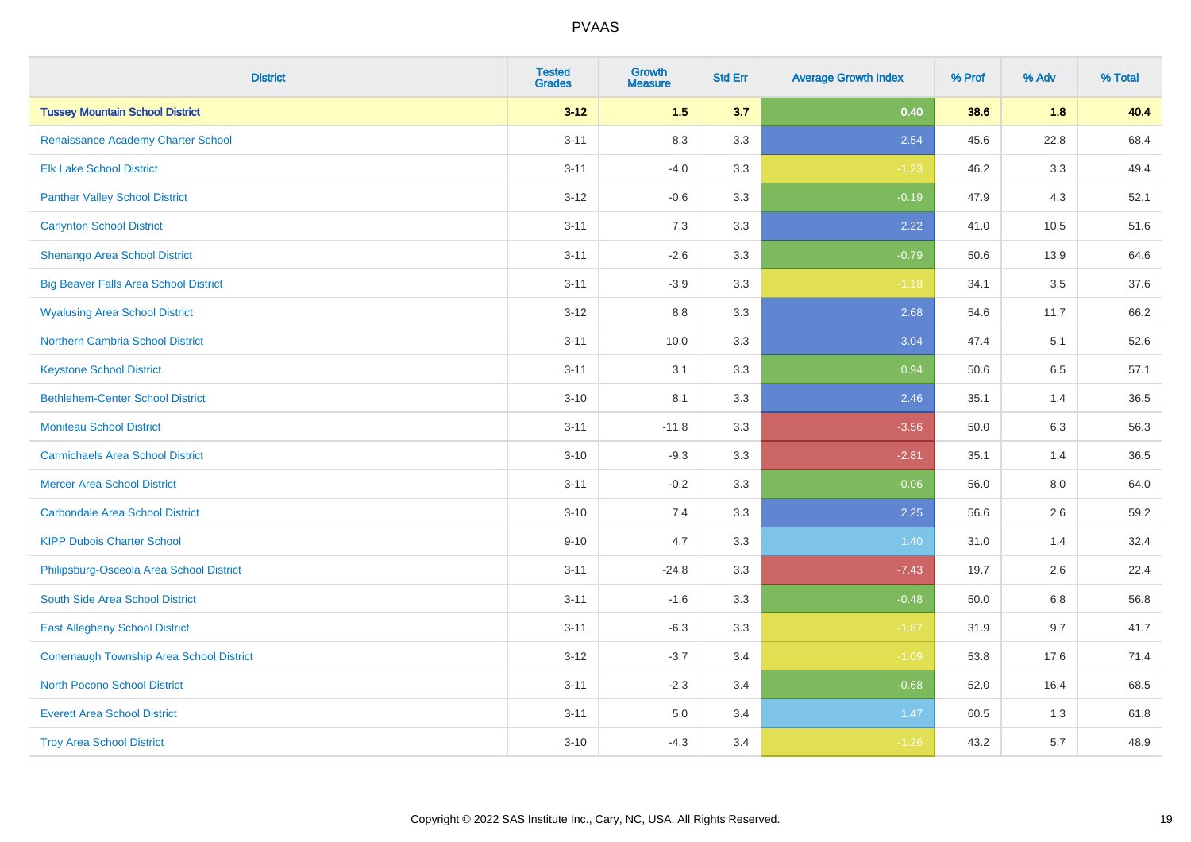| <b>District</b>                                | <b>Tested</b><br><b>Grades</b> | <b>Growth</b><br><b>Measure</b> | <b>Std Err</b> | <b>Average Growth Index</b> | % Prof | % Adv | % Total |
|------------------------------------------------|--------------------------------|---------------------------------|----------------|-----------------------------|--------|-------|---------|
| <b>Tussey Mountain School District</b>         | $3 - 12$                       | 1.5                             | 3.7            | 0.40                        | 38.6   | 1.8   | 40.4    |
| Renaissance Academy Charter School             | $3 - 11$                       | 8.3                             | 3.3            | 2.54                        | 45.6   | 22.8  | 68.4    |
| <b>Elk Lake School District</b>                | $3 - 11$                       | $-4.0$                          | 3.3            | $-1.23$                     | 46.2   | 3.3   | 49.4    |
| <b>Panther Valley School District</b>          | $3 - 12$                       | $-0.6$                          | 3.3            | $-0.19$                     | 47.9   | 4.3   | 52.1    |
| <b>Carlynton School District</b>               | $3 - 11$                       | 7.3                             | 3.3            | 2.22                        | 41.0   | 10.5  | 51.6    |
| Shenango Area School District                  | $3 - 11$                       | $-2.6$                          | 3.3            | $-0.79$                     | 50.6   | 13.9  | 64.6    |
| <b>Big Beaver Falls Area School District</b>   | $3 - 11$                       | $-3.9$                          | 3.3            | $-1.18$                     | 34.1   | 3.5   | 37.6    |
| <b>Wyalusing Area School District</b>          | $3 - 12$                       | $8.8\,$                         | 3.3            | 2.68                        | 54.6   | 11.7  | 66.2    |
| <b>Northern Cambria School District</b>        | $3 - 11$                       | 10.0                            | 3.3            | 3.04                        | 47.4   | 5.1   | 52.6    |
| <b>Keystone School District</b>                | $3 - 11$                       | 3.1                             | 3.3            | 0.94                        | 50.6   | 6.5   | 57.1    |
| <b>Bethlehem-Center School District</b>        | $3 - 10$                       | 8.1                             | 3.3            | 2.46                        | 35.1   | 1.4   | 36.5    |
| <b>Moniteau School District</b>                | $3 - 11$                       | $-11.8$                         | 3.3            | $-3.56$                     | 50.0   | 6.3   | 56.3    |
| <b>Carmichaels Area School District</b>        | $3 - 10$                       | $-9.3$                          | 3.3            | $-2.81$                     | 35.1   | 1.4   | 36.5    |
| <b>Mercer Area School District</b>             | $3 - 11$                       | $-0.2$                          | 3.3            | $-0.06$                     | 56.0   | 8.0   | 64.0    |
| <b>Carbondale Area School District</b>         | $3 - 10$                       | 7.4                             | 3.3            | 2.25                        | 56.6   | 2.6   | 59.2    |
| <b>KIPP Dubois Charter School</b>              | $9 - 10$                       | 4.7                             | 3.3            | 1.40                        | 31.0   | 1.4   | 32.4    |
| Philipsburg-Osceola Area School District       | $3 - 11$                       | $-24.8$                         | 3.3            | $-7.43$                     | 19.7   | 2.6   | 22.4    |
| South Side Area School District                | $3 - 11$                       | $-1.6$                          | 3.3            | $-0.48$                     | 50.0   | 6.8   | 56.8    |
| <b>East Allegheny School District</b>          | $3 - 11$                       | $-6.3$                          | 3.3            | $-1.87$                     | 31.9   | 9.7   | 41.7    |
| <b>Conemaugh Township Area School District</b> | $3 - 12$                       | $-3.7$                          | 3.4            | $-1.09$                     | 53.8   | 17.6  | 71.4    |
| <b>North Pocono School District</b>            | $3 - 11$                       | $-2.3$                          | 3.4            | $-0.68$                     | 52.0   | 16.4  | 68.5    |
| <b>Everett Area School District</b>            | $3 - 11$                       | $5.0\,$                         | 3.4            | 1.47                        | 60.5   | 1.3   | 61.8    |
| <b>Troy Area School District</b>               | $3 - 10$                       | $-4.3$                          | 3.4            | $-1.26$                     | 43.2   | 5.7   | 48.9    |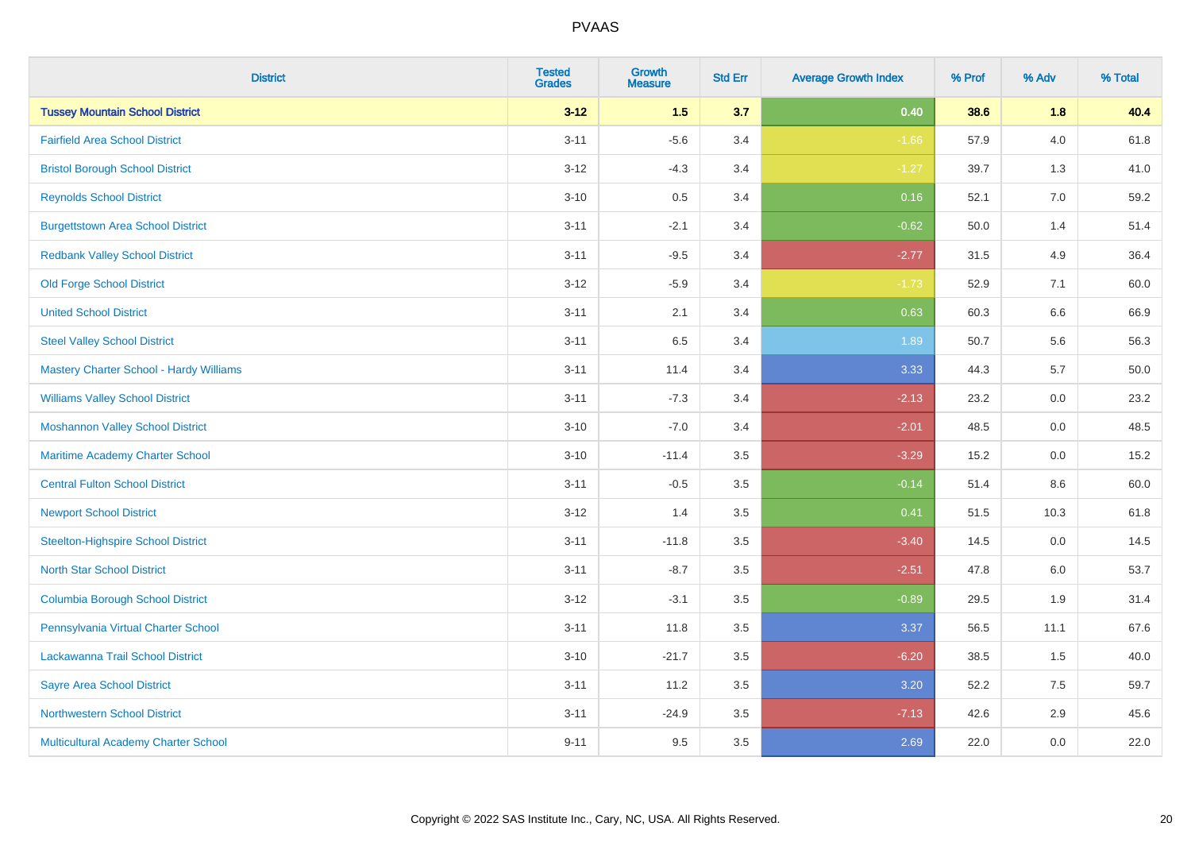| <b>District</b>                                | <b>Tested</b><br><b>Grades</b> | <b>Growth</b><br><b>Measure</b> | <b>Std Err</b> | <b>Average Growth Index</b> | % Prof | % Adv   | % Total |
|------------------------------------------------|--------------------------------|---------------------------------|----------------|-----------------------------|--------|---------|---------|
| <b>Tussey Mountain School District</b>         | $3 - 12$                       | 1.5                             | 3.7            | 0.40                        | 38.6   | 1.8     | 40.4    |
| <b>Fairfield Area School District</b>          | $3 - 11$                       | $-5.6$                          | 3.4            | $-1.66$                     | 57.9   | $4.0\,$ | 61.8    |
| <b>Bristol Borough School District</b>         | $3-12$                         | $-4.3$                          | 3.4            | $-1.27$                     | 39.7   | 1.3     | 41.0    |
| <b>Reynolds School District</b>                | $3 - 10$                       | 0.5                             | 3.4            | 0.16                        | 52.1   | 7.0     | 59.2    |
| <b>Burgettstown Area School District</b>       | $3 - 11$                       | $-2.1$                          | 3.4            | $-0.62$                     | 50.0   | 1.4     | 51.4    |
| <b>Redbank Valley School District</b>          | $3 - 11$                       | $-9.5$                          | 3.4            | $-2.77$                     | 31.5   | 4.9     | 36.4    |
| <b>Old Forge School District</b>               | $3 - 12$                       | $-5.9$                          | 3.4            | $-1.73$                     | 52.9   | 7.1     | 60.0    |
| <b>United School District</b>                  | $3 - 11$                       | 2.1                             | 3.4            | 0.63                        | 60.3   | 6.6     | 66.9    |
| <b>Steel Valley School District</b>            | $3 - 11$                       | 6.5                             | 3.4            | 1.89                        | 50.7   | 5.6     | 56.3    |
| <b>Mastery Charter School - Hardy Williams</b> | $3 - 11$                       | 11.4                            | 3.4            | 3.33                        | 44.3   | 5.7     | 50.0    |
| <b>Williams Valley School District</b>         | $3 - 11$                       | $-7.3$                          | 3.4            | $-2.13$                     | 23.2   | 0.0     | 23.2    |
| <b>Moshannon Valley School District</b>        | $3 - 10$                       | $-7.0$                          | 3.4            | $-2.01$                     | 48.5   | 0.0     | 48.5    |
| Maritime Academy Charter School                | $3 - 10$                       | $-11.4$                         | 3.5            | $-3.29$                     | 15.2   | $0.0\,$ | 15.2    |
| <b>Central Fulton School District</b>          | $3 - 11$                       | $-0.5$                          | 3.5            | $-0.14$                     | 51.4   | 8.6     | 60.0    |
| <b>Newport School District</b>                 | $3 - 12$                       | 1.4                             | 3.5            | 0.41                        | 51.5   | 10.3    | 61.8    |
| <b>Steelton-Highspire School District</b>      | $3 - 11$                       | $-11.8$                         | 3.5            | $-3.40$                     | 14.5   | $0.0\,$ | 14.5    |
| <b>North Star School District</b>              | $3 - 11$                       | $-8.7$                          | 3.5            | $-2.51$                     | 47.8   | 6.0     | 53.7    |
| <b>Columbia Borough School District</b>        | $3 - 12$                       | $-3.1$                          | 3.5            | $-0.89$                     | 29.5   | 1.9     | 31.4    |
| Pennsylvania Virtual Charter School            | $3 - 11$                       | 11.8                            | 3.5            | 3.37                        | 56.5   | 11.1    | 67.6    |
| Lackawanna Trail School District               | $3 - 10$                       | $-21.7$                         | 3.5            | $-6.20$                     | 38.5   | 1.5     | 40.0    |
| <b>Sayre Area School District</b>              | $3 - 11$                       | 11.2                            | 3.5            | 3.20                        | 52.2   | 7.5     | 59.7    |
| <b>Northwestern School District</b>            | $3 - 11$                       | $-24.9$                         | 3.5            | $-7.13$                     | 42.6   | 2.9     | 45.6    |
| Multicultural Academy Charter School           | $9 - 11$                       | 9.5                             | 3.5            | 2.69                        | 22.0   | 0.0     | 22.0    |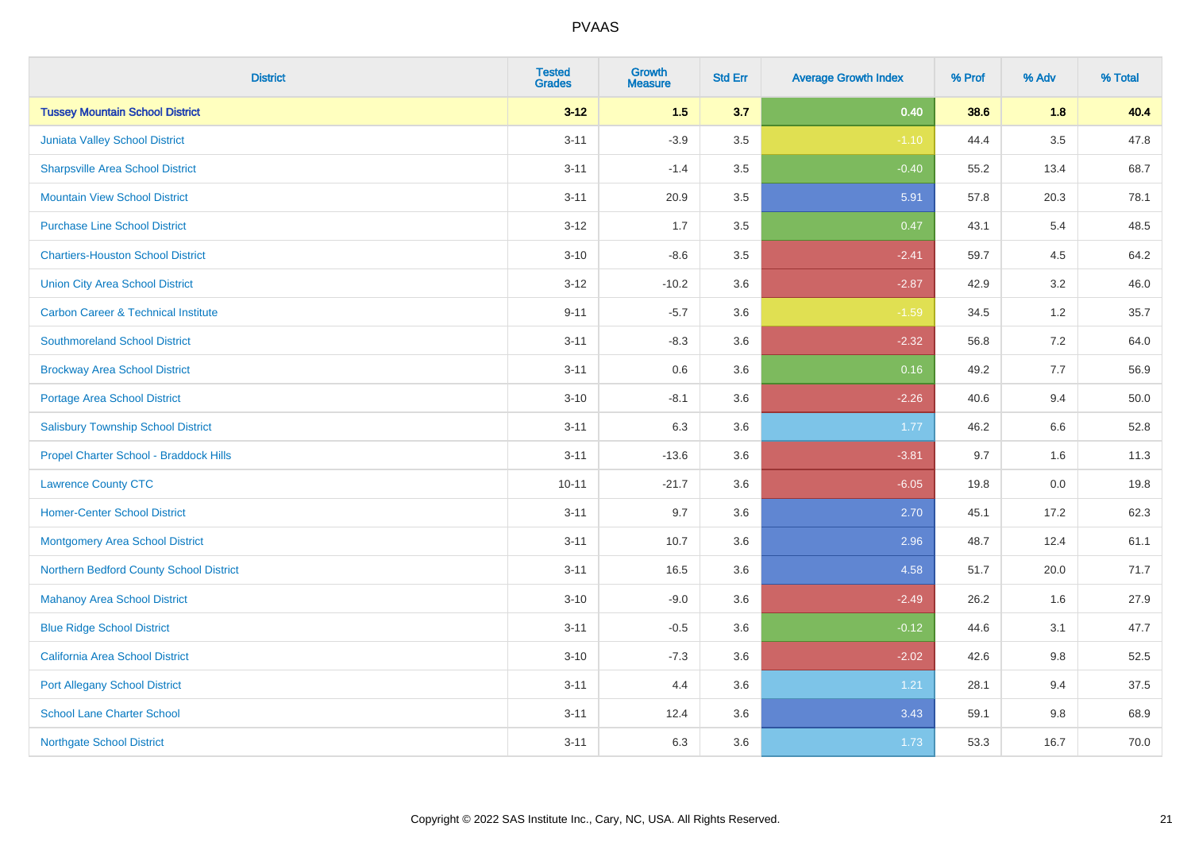| <b>District</b>                                | <b>Tested</b><br>Grades | <b>Growth</b><br><b>Measure</b> | <b>Std Err</b> | <b>Average Growth Index</b> | % Prof | % Adv   | % Total |
|------------------------------------------------|-------------------------|---------------------------------|----------------|-----------------------------|--------|---------|---------|
| <b>Tussey Mountain School District</b>         | $3 - 12$                | $1.5$                           | 3.7            | 0.40                        | 38.6   | 1.8     | 40.4    |
| Juniata Valley School District                 | $3 - 11$                | $-3.9$                          | $3.5\,$        | $-1.10$                     | 44.4   | $3.5\,$ | 47.8    |
| <b>Sharpsville Area School District</b>        | $3 - 11$                | $-1.4$                          | 3.5            | $-0.40$                     | 55.2   | 13.4    | 68.7    |
| <b>Mountain View School District</b>           | $3 - 11$                | 20.9                            | 3.5            | 5.91                        | 57.8   | 20.3    | 78.1    |
| <b>Purchase Line School District</b>           | $3 - 12$                | 1.7                             | 3.5            | 0.47                        | 43.1   | 5.4     | 48.5    |
| <b>Chartiers-Houston School District</b>       | $3 - 10$                | $-8.6$                          | 3.5            | $-2.41$                     | 59.7   | 4.5     | 64.2    |
| <b>Union City Area School District</b>         | $3 - 12$                | $-10.2$                         | 3.6            | $-2.87$                     | 42.9   | 3.2     | 46.0    |
| <b>Carbon Career &amp; Technical Institute</b> | $9 - 11$                | $-5.7$                          | 3.6            | $-1.59$                     | 34.5   | $1.2$   | 35.7    |
| <b>Southmoreland School District</b>           | $3 - 11$                | $-8.3$                          | 3.6            | $-2.32$                     | 56.8   | 7.2     | 64.0    |
| <b>Brockway Area School District</b>           | $3 - 11$                | 0.6                             | 3.6            | 0.16                        | 49.2   | 7.7     | 56.9    |
| Portage Area School District                   | $3 - 10$                | $-8.1$                          | 3.6            | $-2.26$                     | 40.6   | 9.4     | 50.0    |
| <b>Salisbury Township School District</b>      | $3 - 11$                | 6.3                             | 3.6            | 1.77                        | 46.2   | 6.6     | 52.8    |
| Propel Charter School - Braddock Hills         | $3 - 11$                | $-13.6$                         | 3.6            | $-3.81$                     | 9.7    | 1.6     | 11.3    |
| <b>Lawrence County CTC</b>                     | $10 - 11$               | $-21.7$                         | 3.6            | $-6.05$                     | 19.8   | $0.0\,$ | 19.8    |
| <b>Homer-Center School District</b>            | $3 - 11$                | 9.7                             | 3.6            | 2.70                        | 45.1   | 17.2    | 62.3    |
| <b>Montgomery Area School District</b>         | $3 - 11$                | 10.7                            | 3.6            | 2.96                        | 48.7   | 12.4    | 61.1    |
| Northern Bedford County School District        | $3 - 11$                | 16.5                            | 3.6            | 4.58                        | 51.7   | 20.0    | 71.7    |
| <b>Mahanoy Area School District</b>            | $3 - 10$                | $-9.0$                          | 3.6            | $-2.49$                     | 26.2   | 1.6     | 27.9    |
| <b>Blue Ridge School District</b>              | $3 - 11$                | $-0.5$                          | 3.6            | $-0.12$                     | 44.6   | 3.1     | 47.7    |
| California Area School District                | $3 - 10$                | $-7.3$                          | 3.6            | $-2.02$                     | 42.6   | 9.8     | 52.5    |
| <b>Port Allegany School District</b>           | $3 - 11$                | 4.4                             | 3.6            | 1.21                        | 28.1   | 9.4     | 37.5    |
| <b>School Lane Charter School</b>              | $3 - 11$                | 12.4                            | 3.6            | 3.43                        | 59.1   | $9.8\,$ | 68.9    |
| <b>Northgate School District</b>               | $3 - 11$                | 6.3                             | 3.6            | 1.73                        | 53.3   | 16.7    | 70.0    |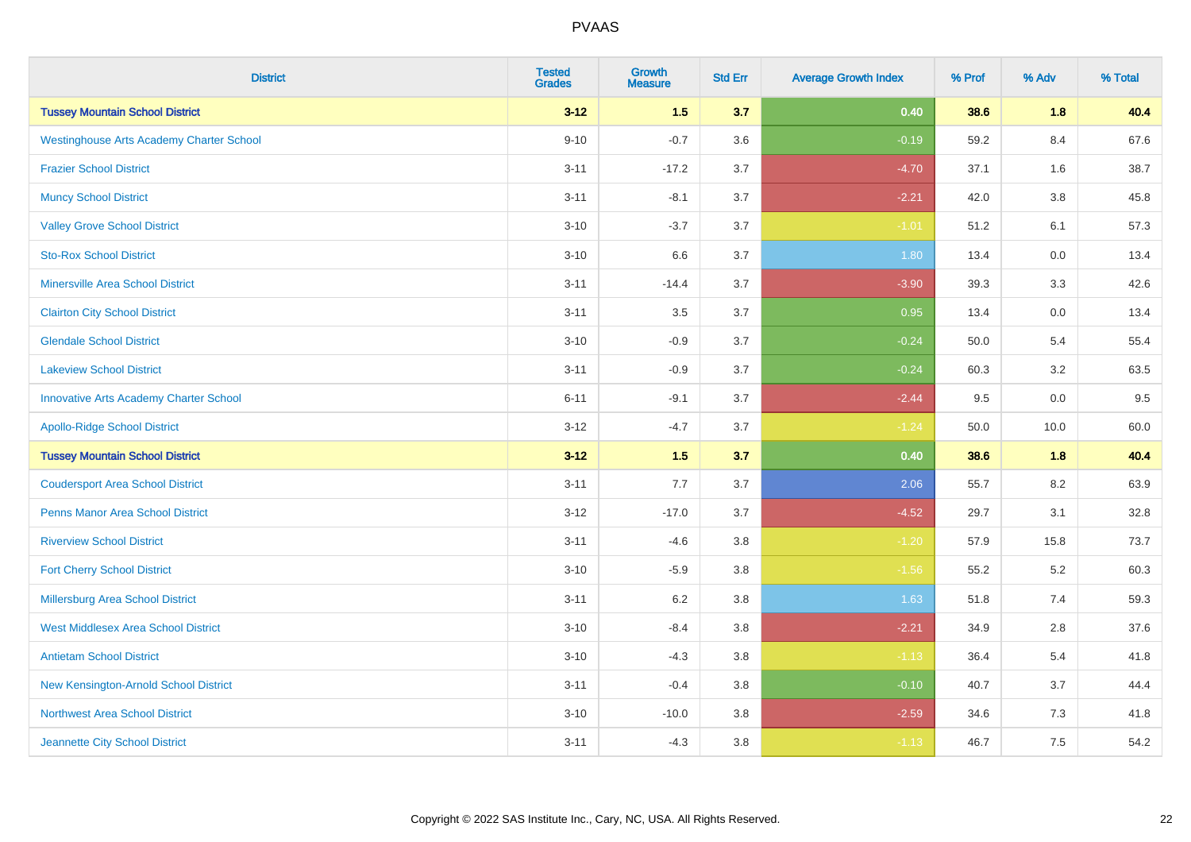| <b>District</b>                                 | <b>Tested</b><br><b>Grades</b> | <b>Growth</b><br><b>Measure</b> | <b>Std Err</b> | <b>Average Growth Index</b> | % Prof | % Adv   | % Total |
|-------------------------------------------------|--------------------------------|---------------------------------|----------------|-----------------------------|--------|---------|---------|
| <b>Tussey Mountain School District</b>          | $3 - 12$                       | 1.5                             | 3.7            | 0.40                        | 38.6   | 1.8     | 40.4    |
| <b>Westinghouse Arts Academy Charter School</b> | $9 - 10$                       | $-0.7$                          | 3.6            | $-0.19$                     | 59.2   | 8.4     | 67.6    |
| <b>Frazier School District</b>                  | $3 - 11$                       | $-17.2$                         | 3.7            | $-4.70$                     | 37.1   | 1.6     | 38.7    |
| <b>Muncy School District</b>                    | $3 - 11$                       | $-8.1$                          | 3.7            | $-2.21$                     | 42.0   | $3.8\,$ | 45.8    |
| <b>Valley Grove School District</b>             | $3 - 10$                       | $-3.7$                          | 3.7            | $-1.01$                     | 51.2   | 6.1     | 57.3    |
| <b>Sto-Rox School District</b>                  | $3 - 10$                       | 6.6                             | 3.7            | 1.80                        | 13.4   | 0.0     | 13.4    |
| Minersville Area School District                | $3 - 11$                       | $-14.4$                         | 3.7            | $-3.90$                     | 39.3   | 3.3     | 42.6    |
| <b>Clairton City School District</b>            | $3 - 11$                       | 3.5                             | 3.7            | 0.95                        | 13.4   | 0.0     | 13.4    |
| <b>Glendale School District</b>                 | $3 - 10$                       | $-0.9$                          | 3.7            | $-0.24$                     | 50.0   | 5.4     | 55.4    |
| <b>Lakeview School District</b>                 | $3 - 11$                       | $-0.9$                          | 3.7            | $-0.24$                     | 60.3   | 3.2     | 63.5    |
| <b>Innovative Arts Academy Charter School</b>   | $6 - 11$                       | $-9.1$                          | 3.7            | $-2.44$                     | 9.5    | 0.0     | 9.5     |
| <b>Apollo-Ridge School District</b>             | $3 - 12$                       | $-4.7$                          | 3.7            | $-1.24$                     | 50.0   | 10.0    | 60.0    |
| <b>Tussey Mountain School District</b>          | $3 - 12$                       | $1.5$                           | 3.7            | 0.40                        | 38.6   | 1.8     | 40.4    |
| <b>Coudersport Area School District</b>         | $3 - 11$                       | 7.7                             | 3.7            | 2.06                        | 55.7   | 8.2     | 63.9    |
| <b>Penns Manor Area School District</b>         | $3 - 12$                       | $-17.0$                         | 3.7            | $-4.52$                     | 29.7   | 3.1     | 32.8    |
| <b>Riverview School District</b>                | $3 - 11$                       | $-4.6$                          | 3.8            | $-1.20$                     | 57.9   | 15.8    | 73.7    |
| <b>Fort Cherry School District</b>              | $3 - 10$                       | $-5.9$                          | 3.8            | $-1.56$                     | 55.2   | $5.2\,$ | 60.3    |
| <b>Millersburg Area School District</b>         | $3 - 11$                       | 6.2                             | 3.8            | 1.63                        | 51.8   | 7.4     | 59.3    |
| <b>West Middlesex Area School District</b>      | $3 - 10$                       | $-8.4$                          | 3.8            | $-2.21$                     | 34.9   | 2.8     | 37.6    |
| <b>Antietam School District</b>                 | $3 - 10$                       | $-4.3$                          | 3.8            | $-1.13$                     | 36.4   | 5.4     | 41.8    |
| New Kensington-Arnold School District           | $3 - 11$                       | $-0.4$                          | 3.8            | $-0.10$                     | 40.7   | 3.7     | 44.4    |
| <b>Northwest Area School District</b>           | $3 - 10$                       | $-10.0$                         | 3.8            | $-2.59$                     | 34.6   | 7.3     | 41.8    |
| Jeannette City School District                  | $3 - 11$                       | $-4.3$                          | 3.8            | $-1.13$                     | 46.7   | 7.5     | 54.2    |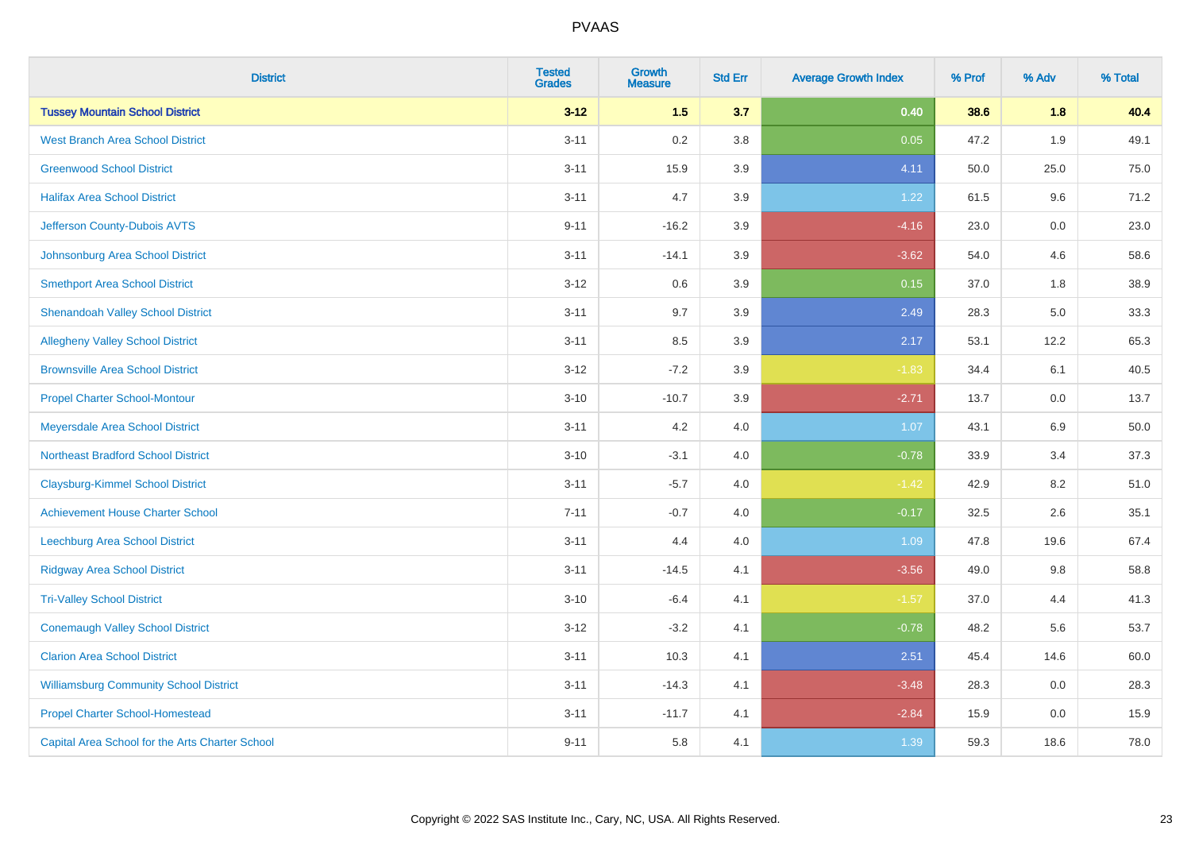| <b>District</b>                                 | <b>Tested</b><br><b>Grades</b> | Growth<br><b>Measure</b> | <b>Std Err</b> | <b>Average Growth Index</b> | % Prof | % Adv   | % Total |
|-------------------------------------------------|--------------------------------|--------------------------|----------------|-----------------------------|--------|---------|---------|
| <b>Tussey Mountain School District</b>          | $3 - 12$                       | 1.5                      | 3.7            | 0.40                        | 38.6   | 1.8     | 40.4    |
| <b>West Branch Area School District</b>         | $3 - 11$                       | 0.2                      | 3.8            | 0.05                        | 47.2   | 1.9     | 49.1    |
| <b>Greenwood School District</b>                | $3 - 11$                       | 15.9                     | 3.9            | 4.11                        | 50.0   | 25.0    | 75.0    |
| <b>Halifax Area School District</b>             | $3 - 11$                       | 4.7                      | 3.9            | 1.22                        | 61.5   | 9.6     | 71.2    |
| Jefferson County-Dubois AVTS                    | $9 - 11$                       | $-16.2$                  | 3.9            | $-4.16$                     | 23.0   | 0.0     | 23.0    |
| Johnsonburg Area School District                | $3 - 11$                       | $-14.1$                  | 3.9            | $-3.62$                     | 54.0   | 4.6     | 58.6    |
| <b>Smethport Area School District</b>           | $3 - 12$                       | 0.6                      | 3.9            | 0.15                        | 37.0   | 1.8     | 38.9    |
| <b>Shenandoah Valley School District</b>        | $3 - 11$                       | 9.7                      | 3.9            | 2.49                        | 28.3   | 5.0     | 33.3    |
| <b>Allegheny Valley School District</b>         | $3 - 11$                       | 8.5                      | 3.9            | 2.17                        | 53.1   | 12.2    | 65.3    |
| <b>Brownsville Area School District</b>         | $3 - 12$                       | $-7.2$                   | 3.9            | $-1.83$                     | 34.4   | 6.1     | 40.5    |
| <b>Propel Charter School-Montour</b>            | $3 - 10$                       | $-10.7$                  | 3.9            | $-2.71$                     | 13.7   | 0.0     | 13.7    |
| Meyersdale Area School District                 | $3 - 11$                       | 4.2                      | 4.0            | 1.07                        | 43.1   | $6.9\,$ | 50.0    |
| <b>Northeast Bradford School District</b>       | $3 - 10$                       | $-3.1$                   | 4.0            | $-0.78$                     | 33.9   | 3.4     | 37.3    |
| <b>Claysburg-Kimmel School District</b>         | $3 - 11$                       | $-5.7$                   | 4.0            | $-1.42$                     | 42.9   | 8.2     | 51.0    |
| <b>Achievement House Charter School</b>         | $7 - 11$                       | $-0.7$                   | 4.0            | $-0.17$                     | 32.5   | 2.6     | 35.1    |
| <b>Leechburg Area School District</b>           | $3 - 11$                       | 4.4                      | 4.0            | 1.09                        | 47.8   | 19.6    | 67.4    |
| <b>Ridgway Area School District</b>             | $3 - 11$                       | $-14.5$                  | 4.1            | $-3.56$                     | 49.0   | 9.8     | 58.8    |
| <b>Tri-Valley School District</b>               | $3 - 10$                       | $-6.4$                   | 4.1            | $-1.57$                     | 37.0   | 4.4     | 41.3    |
| <b>Conemaugh Valley School District</b>         | $3 - 12$                       | $-3.2$                   | 4.1            | $-0.78$                     | 48.2   | 5.6     | 53.7    |
| <b>Clarion Area School District</b>             | $3 - 11$                       | 10.3                     | 4.1            | 2.51                        | 45.4   | 14.6    | 60.0    |
| <b>Williamsburg Community School District</b>   | $3 - 11$                       | $-14.3$                  | 4.1            | $-3.48$                     | 28.3   | 0.0     | 28.3    |
| <b>Propel Charter School-Homestead</b>          | $3 - 11$                       | $-11.7$                  | 4.1            | $-2.84$                     | 15.9   | 0.0     | 15.9    |
| Capital Area School for the Arts Charter School | $9 - 11$                       | 5.8                      | 4.1            | 1.39                        | 59.3   | 18.6    | 78.0    |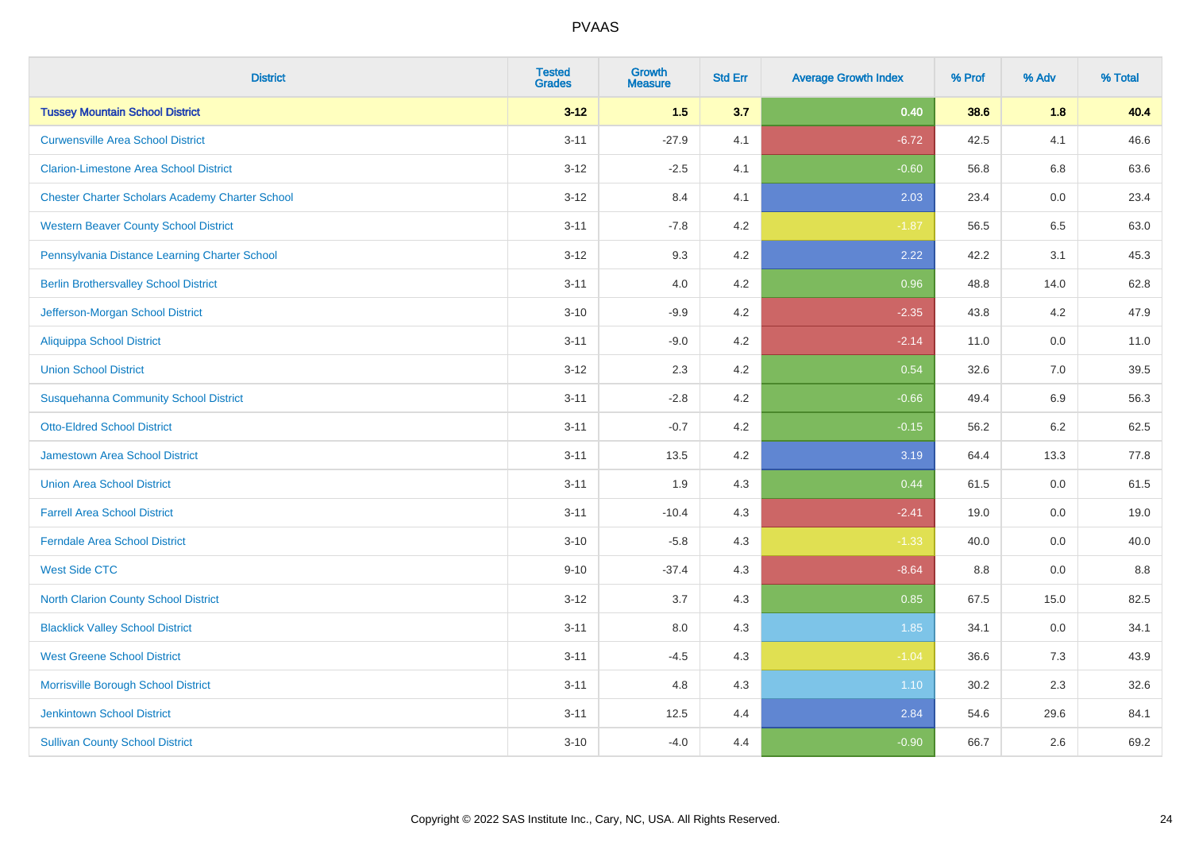| <b>District</b>                                        | <b>Tested</b><br><b>Grades</b> | <b>Growth</b><br><b>Measure</b> | <b>Std Err</b> | <b>Average Growth Index</b> | % Prof | % Adv   | % Total |
|--------------------------------------------------------|--------------------------------|---------------------------------|----------------|-----------------------------|--------|---------|---------|
| <b>Tussey Mountain School District</b>                 | $3 - 12$                       | 1.5                             | 3.7            | 0.40                        | 38.6   | 1.8     | 40.4    |
| <b>Curwensville Area School District</b>               | $3 - 11$                       | $-27.9$                         | 4.1            | $-6.72$                     | 42.5   | 4.1     | 46.6    |
| <b>Clarion-Limestone Area School District</b>          | $3 - 12$                       | $-2.5$                          | 4.1            | $-0.60$                     | 56.8   | 6.8     | 63.6    |
| <b>Chester Charter Scholars Academy Charter School</b> | $3 - 12$                       | 8.4                             | 4.1            | 2.03                        | 23.4   | 0.0     | 23.4    |
| <b>Western Beaver County School District</b>           | $3 - 11$                       | $-7.8$                          | 4.2            | $-1.87$                     | 56.5   | 6.5     | 63.0    |
| Pennsylvania Distance Learning Charter School          | $3 - 12$                       | 9.3                             | 4.2            | 2.22                        | 42.2   | 3.1     | 45.3    |
| <b>Berlin Brothersvalley School District</b>           | $3 - 11$                       | 4.0                             | 4.2            | 0.96                        | 48.8   | 14.0    | 62.8    |
| Jefferson-Morgan School District                       | $3 - 10$                       | $-9.9$                          | 4.2            | $-2.35$                     | 43.8   | 4.2     | 47.9    |
| <b>Aliquippa School District</b>                       | $3 - 11$                       | $-9.0$                          | 4.2            | $-2.14$                     | 11.0   | 0.0     | 11.0    |
| <b>Union School District</b>                           | $3 - 12$                       | 2.3                             | 4.2            | 0.54                        | 32.6   | 7.0     | 39.5    |
| <b>Susquehanna Community School District</b>           | $3 - 11$                       | $-2.8$                          | 4.2            | $-0.66$                     | 49.4   | 6.9     | 56.3    |
| <b>Otto-Eldred School District</b>                     | $3 - 11$                       | $-0.7$                          | 4.2            | $-0.15$                     | 56.2   | $6.2\,$ | 62.5    |
| <b>Jamestown Area School District</b>                  | $3 - 11$                       | 13.5                            | 4.2            | 3.19                        | 64.4   | 13.3    | 77.8    |
| <b>Union Area School District</b>                      | $3 - 11$                       | 1.9                             | 4.3            | 0.44                        | 61.5   | 0.0     | 61.5    |
| <b>Farrell Area School District</b>                    | $3 - 11$                       | $-10.4$                         | 4.3            | $-2.41$                     | 19.0   | 0.0     | 19.0    |
| <b>Ferndale Area School District</b>                   | $3 - 10$                       | $-5.8$                          | 4.3            | $-1.33$                     | 40.0   | $0.0\,$ | 40.0    |
| <b>West Side CTC</b>                                   | $9 - 10$                       | $-37.4$                         | 4.3            | $-8.64$                     | 8.8    | 0.0     | $8.8\,$ |
| <b>North Clarion County School District</b>            | $3 - 12$                       | 3.7                             | 4.3            | 0.85                        | 67.5   | 15.0    | 82.5    |
| <b>Blacklick Valley School District</b>                | $3 - 11$                       | 8.0                             | 4.3            | 1.85                        | 34.1   | 0.0     | 34.1    |
| <b>West Greene School District</b>                     | $3 - 11$                       | $-4.5$                          | 4.3            | $-1.04$                     | 36.6   | 7.3     | 43.9    |
| Morrisville Borough School District                    | $3 - 11$                       | 4.8                             | 4.3            | 1.10                        | 30.2   | 2.3     | 32.6    |
| <b>Jenkintown School District</b>                      | $3 - 11$                       | 12.5                            | 4.4            | 2.84                        | 54.6   | 29.6    | 84.1    |
| <b>Sullivan County School District</b>                 | $3 - 10$                       | $-4.0$                          | 4.4            | $-0.90$                     | 66.7   | 2.6     | 69.2    |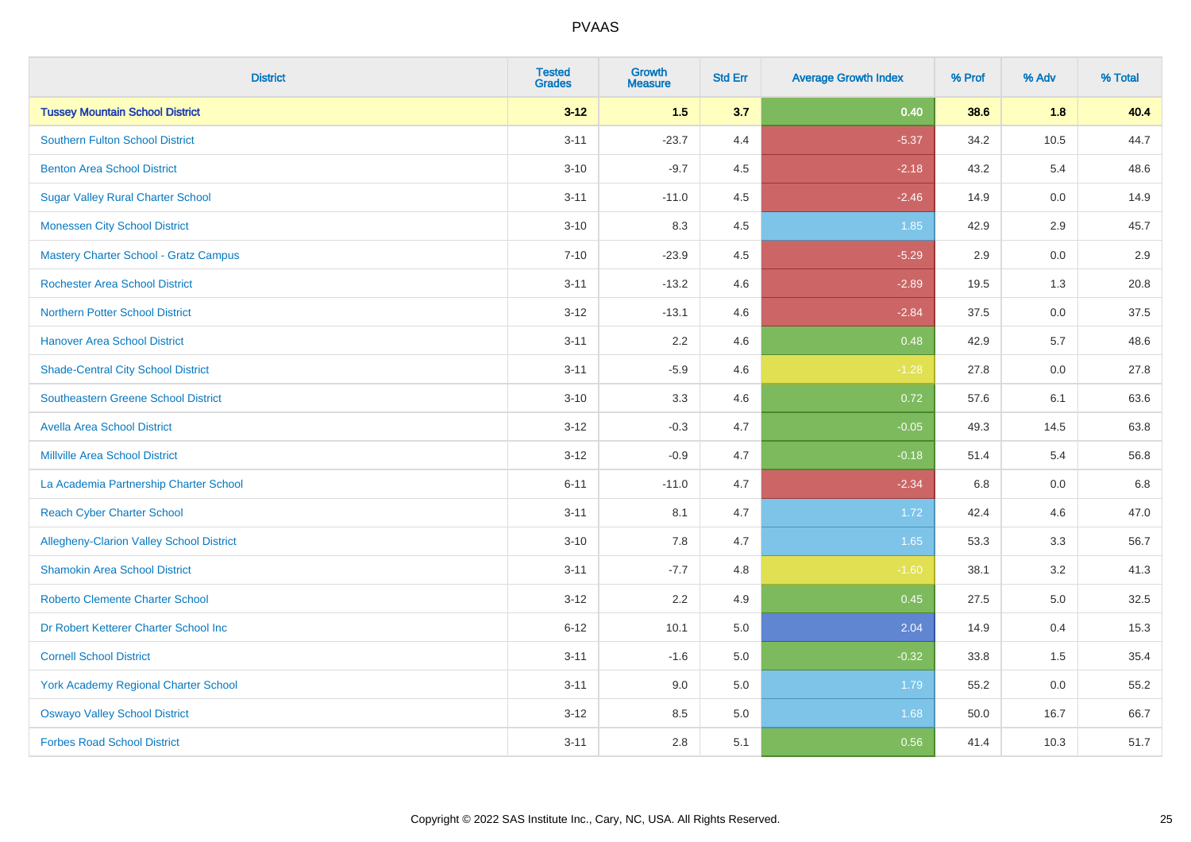| <b>District</b>                                 | <b>Tested</b><br><b>Grades</b> | <b>Growth</b><br><b>Measure</b> | <b>Std Err</b> | <b>Average Growth Index</b> | % Prof | % Adv   | % Total |
|-------------------------------------------------|--------------------------------|---------------------------------|----------------|-----------------------------|--------|---------|---------|
| <b>Tussey Mountain School District</b>          | $3 - 12$                       | 1.5                             | 3.7            | 0.40                        | 38.6   | 1.8     | 40.4    |
| <b>Southern Fulton School District</b>          | $3 - 11$                       | $-23.7$                         | 4.4            | $-5.37$                     | 34.2   | 10.5    | 44.7    |
| <b>Benton Area School District</b>              | $3 - 10$                       | $-9.7$                          | 4.5            | $-2.18$                     | 43.2   | 5.4     | 48.6    |
| <b>Sugar Valley Rural Charter School</b>        | $3 - 11$                       | $-11.0$                         | 4.5            | $-2.46$                     | 14.9   | $0.0\,$ | 14.9    |
| <b>Monessen City School District</b>            | $3 - 10$                       | 8.3                             | 4.5            | 1.85                        | 42.9   | 2.9     | 45.7    |
| <b>Mastery Charter School - Gratz Campus</b>    | $7 - 10$                       | $-23.9$                         | 4.5            | $-5.29$                     | 2.9    | 0.0     | 2.9     |
| <b>Rochester Area School District</b>           | $3 - 11$                       | $-13.2$                         | 4.6            | $-2.89$                     | 19.5   | 1.3     | 20.8    |
| <b>Northern Potter School District</b>          | $3 - 12$                       | $-13.1$                         | 4.6            | $-2.84$                     | 37.5   | 0.0     | 37.5    |
| <b>Hanover Area School District</b>             | $3 - 11$                       | 2.2                             | 4.6            | 0.48                        | 42.9   | 5.7     | 48.6    |
| <b>Shade-Central City School District</b>       | $3 - 11$                       | $-5.9$                          | 4.6            | $-1.28$                     | 27.8   | 0.0     | 27.8    |
| <b>Southeastern Greene School District</b>      | $3 - 10$                       | 3.3                             | 4.6            | 0.72                        | 57.6   | 6.1     | 63.6    |
| <b>Avella Area School District</b>              | $3 - 12$                       | $-0.3$                          | 4.7            | $-0.05$                     | 49.3   | 14.5    | 63.8    |
| <b>Millville Area School District</b>           | $3 - 12$                       | $-0.9$                          | 4.7            | $-0.18$                     | 51.4   | 5.4     | 56.8    |
| La Academia Partnership Charter School          | $6 - 11$                       | $-11.0$                         | 4.7            | $-2.34$                     | 6.8    | 0.0     | 6.8     |
| <b>Reach Cyber Charter School</b>               | $3 - 11$                       | 8.1                             | 4.7            | 1.72                        | 42.4   | 4.6     | 47.0    |
| <b>Allegheny-Clarion Valley School District</b> | $3 - 10$                       | 7.8                             | 4.7            | 1.65                        | 53.3   | 3.3     | 56.7    |
| <b>Shamokin Area School District</b>            | $3 - 11$                       | $-7.7$                          | 4.8            | $-1.60$                     | 38.1   | 3.2     | 41.3    |
| <b>Roberto Clemente Charter School</b>          | $3 - 12$                       | 2.2                             | 4.9            | 0.45                        | 27.5   | 5.0     | 32.5    |
| Dr Robert Ketterer Charter School Inc           | $6 - 12$                       | 10.1                            | 5.0            | 2.04                        | 14.9   | 0.4     | 15.3    |
| <b>Cornell School District</b>                  | $3 - 11$                       | $-1.6$                          | 5.0            | $-0.32$                     | 33.8   | 1.5     | 35.4    |
| York Academy Regional Charter School            | $3 - 11$                       | 9.0                             | 5.0            | 1.79                        | 55.2   | 0.0     | 55.2    |
| <b>Oswayo Valley School District</b>            | $3 - 12$                       | 8.5                             | 5.0            | 1.68                        | 50.0   | 16.7    | 66.7    |
| <b>Forbes Road School District</b>              | $3 - 11$                       | 2.8                             | 5.1            | 0.56                        | 41.4   | 10.3    | 51.7    |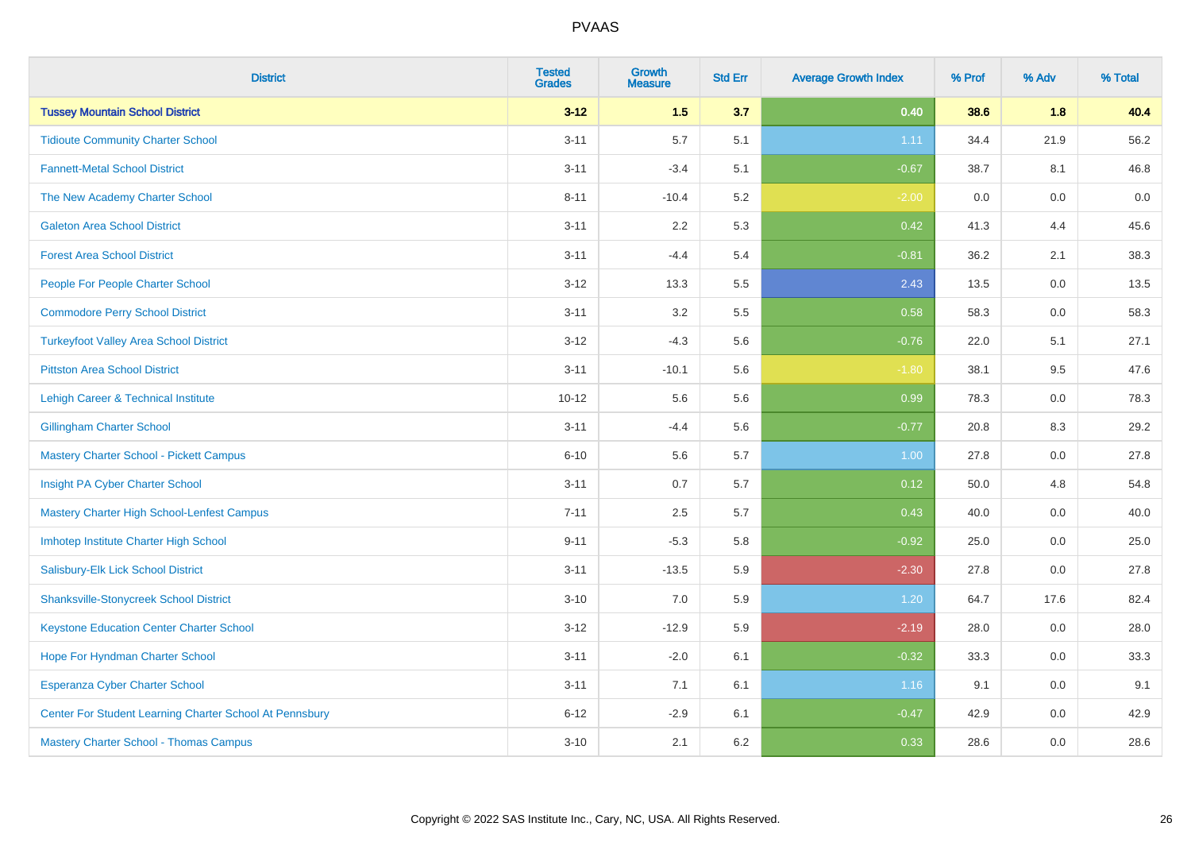| <b>District</b>                                         | <b>Tested</b><br><b>Grades</b> | <b>Growth</b><br><b>Measure</b> | <b>Std Err</b> | <b>Average Growth Index</b> | % Prof | % Adv   | % Total |
|---------------------------------------------------------|--------------------------------|---------------------------------|----------------|-----------------------------|--------|---------|---------|
| <b>Tussey Mountain School District</b>                  | $3 - 12$                       | 1.5                             | 3.7            | 0.40                        | 38.6   | 1.8     | 40.4    |
| <b>Tidioute Community Charter School</b>                | $3 - 11$                       | 5.7                             | 5.1            | 1.11                        | 34.4   | 21.9    | 56.2    |
| <b>Fannett-Metal School District</b>                    | $3 - 11$                       | $-3.4$                          | 5.1            | $-0.67$                     | 38.7   | 8.1     | 46.8    |
| The New Academy Charter School                          | $8 - 11$                       | $-10.4$                         | 5.2            | $-2.00$                     | 0.0    | $0.0\,$ | $0.0\,$ |
| <b>Galeton Area School District</b>                     | $3 - 11$                       | 2.2                             | 5.3            | 0.42                        | 41.3   | 4.4     | 45.6    |
| <b>Forest Area School District</b>                      | $3 - 11$                       | $-4.4$                          | 5.4            | $-0.81$                     | 36.2   | 2.1     | 38.3    |
| People For People Charter School                        | $3 - 12$                       | 13.3                            | 5.5            | 2.43                        | 13.5   | 0.0     | 13.5    |
| <b>Commodore Perry School District</b>                  | $3 - 11$                       | 3.2                             | 5.5            | 0.58                        | 58.3   | 0.0     | 58.3    |
| <b>Turkeyfoot Valley Area School District</b>           | $3 - 12$                       | $-4.3$                          | 5.6            | $-0.76$                     | 22.0   | 5.1     | 27.1    |
| <b>Pittston Area School District</b>                    | $3 - 11$                       | $-10.1$                         | 5.6            | $-1.80$                     | 38.1   | 9.5     | 47.6    |
| Lehigh Career & Technical Institute                     | $10 - 12$                      | 5.6                             | 5.6            | 0.99                        | 78.3   | 0.0     | 78.3    |
| <b>Gillingham Charter School</b>                        | $3 - 11$                       | $-4.4$                          | 5.6            | $-0.77$                     | 20.8   | 8.3     | 29.2    |
| <b>Mastery Charter School - Pickett Campus</b>          | $6 - 10$                       | 5.6                             | 5.7            | 1.00                        | 27.8   | 0.0     | 27.8    |
| Insight PA Cyber Charter School                         | $3 - 11$                       | 0.7                             | 5.7            | 0.12                        | 50.0   | 4.8     | 54.8    |
| Mastery Charter High School-Lenfest Campus              | $7 - 11$                       | 2.5                             | 5.7            | 0.43                        | 40.0   | 0.0     | 40.0    |
| Imhotep Institute Charter High School                   | $9 - 11$                       | $-5.3$                          | 5.8            | $-0.92$                     | 25.0   | 0.0     | 25.0    |
| Salisbury-Elk Lick School District                      | $3 - 11$                       | $-13.5$                         | 5.9            | $-2.30$                     | 27.8   | 0.0     | 27.8    |
| <b>Shanksville-Stonycreek School District</b>           | $3 - 10$                       | 7.0                             | 5.9            | 1.20                        | 64.7   | 17.6    | 82.4    |
| <b>Keystone Education Center Charter School</b>         | $3 - 12$                       | $-12.9$                         | 5.9            | $-2.19$                     | 28.0   | 0.0     | 28.0    |
| Hope For Hyndman Charter School                         | $3 - 11$                       | $-2.0$                          | 6.1            | $-0.32$                     | 33.3   | 0.0     | 33.3    |
| Esperanza Cyber Charter School                          | $3 - 11$                       | 7.1                             | 6.1            | 1.16                        | 9.1    | 0.0     | 9.1     |
| Center For Student Learning Charter School At Pennsbury | $6 - 12$                       | $-2.9$                          | 6.1            | $-0.47$                     | 42.9   | 0.0     | 42.9    |
| <b>Mastery Charter School - Thomas Campus</b>           | $3 - 10$                       | 2.1                             | 6.2            | 0.33                        | 28.6   | 0.0     | 28.6    |